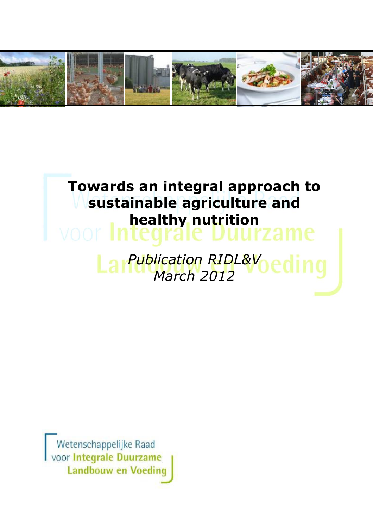

# Towards an integral approach to sustainable agriculture and healthy nutrition **Publication RIDL&Voedin** March 2012

Wetenschappelijke Raad voor Integrale Duurzame **Landbouw en Voeding**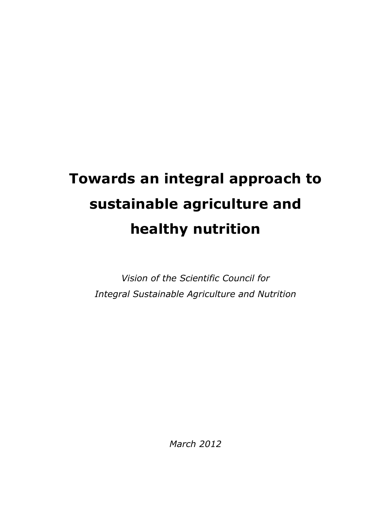# Towards an integral approach to sustainable agriculture and healthy nutrition

Vision of the Scientific Council for Integral Sustainable Agriculture and Nutrition

March 2012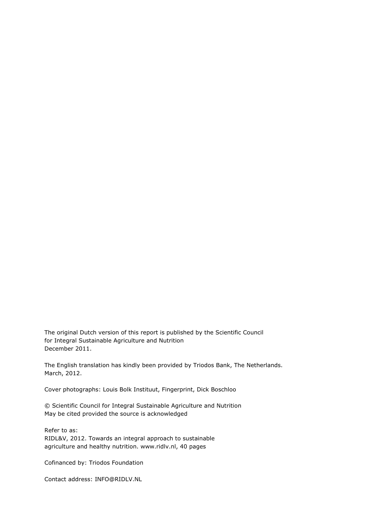The original Dutch version of this report is published by the Scientific Council for Integral Sustainable Agriculture and Nutrition December 2011.

The English translation has kindly been provided by Triodos Bank, The Netherlands. March, 2012.

Cover photographs: Louis Bolk Instituut, Fingerprint, Dick Boschloo

© Scientific Council for Integral Sustainable Agriculture and Nutrition May be cited provided the source is acknowledged

Refer to as: RIDL&V, 2012. Towards an integral approach to sustainable agriculture and healthy nutrition. www.ridlv.nl, 40 pages

Cofinanced by: Triodos Foundation

Contact address: INFO@RIDLV.NL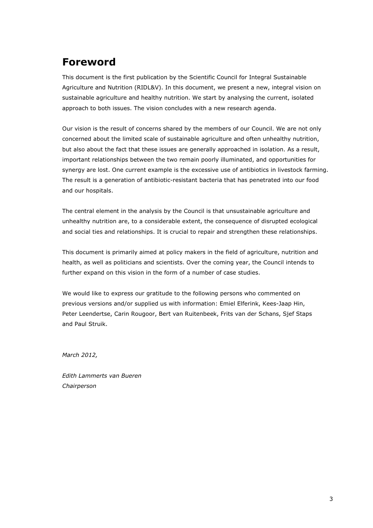### Foreword

This document is the first publication by the Scientific Council for Integral Sustainable Agriculture and Nutrition (RIDL&V). In this document, we present a new, integral vision on sustainable agriculture and healthy nutrition. We start by analysing the current, isolated approach to both issues. The vision concludes with a new research agenda.

Our vision is the result of concerns shared by the members of our Council. We are not only concerned about the limited scale of sustainable agriculture and often unhealthy nutrition, but also about the fact that these issues are generally approached in isolation. As a result, important relationships between the two remain poorly illuminated, and opportunities for synergy are lost. One current example is the excessive use of antibiotics in livestock farming. The result is a generation of antibiotic-resistant bacteria that has penetrated into our food and our hospitals.

The central element in the analysis by the Council is that unsustainable agriculture and unhealthy nutrition are, to a considerable extent, the consequence of disrupted ecological and social ties and relationships. It is crucial to repair and strengthen these relationships.

This document is primarily aimed at policy makers in the field of agriculture, nutrition and health, as well as politicians and scientists. Over the coming year, the Council intends to further expand on this vision in the form of a number of case studies.

We would like to express our gratitude to the following persons who commented on previous versions and/or supplied us with information: Emiel Elferink, Kees-Jaap Hin, Peter Leendertse, Carin Rougoor, Bert van Ruitenbeek, Frits van der Schans, Sjef Staps and Paul Struik.

March 2012,

Edith Lammerts van Bueren Chairperson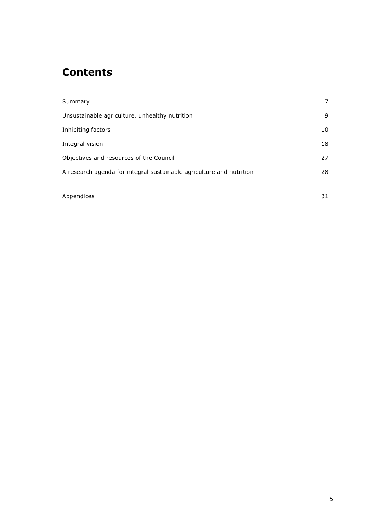# **Contents**

| Summary                                                              | 7  |
|----------------------------------------------------------------------|----|
| Unsustainable agriculture, unhealthy nutrition                       | 9  |
| Inhibiting factors                                                   | 10 |
| Integral vision                                                      | 18 |
| Objectives and resources of the Council                              | 27 |
| A research agenda for integral sustainable agriculture and nutrition | 28 |
|                                                                      |    |
| Appendices                                                           | 31 |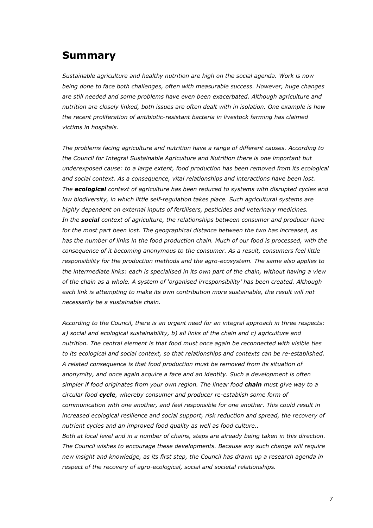### Summary

Sustainable agriculture and healthy nutrition are high on the social agenda. Work is now being done to face both challenges, often with measurable success. However, huge changes are still needed and some problems have even been exacerbated. Although agriculture and nutrition are closely linked, both issues are often dealt with in isolation. One example is how the recent proliferation of antibiotic-resistant bacteria in livestock farming has claimed victims in hospitals.

The problems facing agriculture and nutrition have a range of different causes. According to the Council for Integral Sustainable Agriculture and Nutrition there is one important but underexposed cause: to a large extent, food production has been removed from its ecological and social context. As a consequence, vital relationships and interactions have been lost. The **ecological** context of agriculture has been reduced to systems with disrupted cycles and low biodiversity, in which little self-regulation takes place. Such agricultural systems are highly dependent on external inputs of fertilisers, pesticides and veterinary medicines. In the **social** context of agriculture, the relationships between consumer and producer have for the most part been lost. The geographical distance between the two has increased, as has the number of links in the food production chain. Much of our food is processed, with the consequence of it becoming anonymous to the consumer. As a result, consumers feel little responsibility for the production methods and the agro-ecosystem. The same also applies to the intermediate links: each is specialised in its own part of the chain, without having a view of the chain as a whole. A system of 'organised irresponsibility' has been created. Although each link is attempting to make its own contribution more sustainable, the result will not necessarily be a sustainable chain.

According to the Council, there is an urgent need for an integral approach in three respects: a) social and ecological sustainability, b) all links of the chain and c) agriculture and nutrition. The central element is that food must once again be reconnected with visible ties to its ecological and social context, so that relationships and contexts can be re-established. A related consequence is that food production must be removed from its situation of anonymity, and once again acquire a face and an identity. Such a development is often simpler if food originates from your own region. The linear food chain must give way to a circular food cycle, whereby consumer and producer re-establish some form of communication with one another, and feel responsible for one another. This could result in increased ecological resilience and social support, risk reduction and spread, the recovery of nutrient cycles and an improved food quality as well as food culture..

Both at local level and in a number of chains, steps are already being taken in this direction. The Council wishes to encourage these developments. Because any such change will require new insight and knowledge, as its first step, the Council has drawn up a research agenda in respect of the recovery of agro-ecological, social and societal relationships.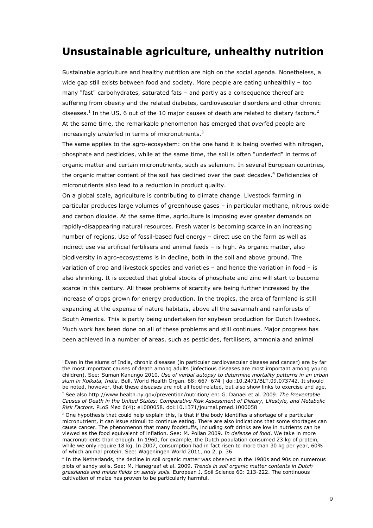### Unsustainable agriculture, unhealthy nutrition

Sustainable agriculture and healthy nutrition are high on the social agenda. Nonetheless, a wide gap still exists between food and society. More people are eating unhealthily – too many "fast" carbohydrates, saturated fats – and partly as a consequence thereof are suffering from obesity and the related diabetes, cardiovascular disorders and other chronic diseases.<sup>1</sup> In the US, 6 out of the 10 major causes of death are related to dietary factors.<sup>2</sup> At the same time, the remarkable phenomenon has emerged that overfed people are increasingly *underfed* in terms of micronutrients.<sup>3</sup>

The same applies to the agro-ecosystem: on the one hand it is being overfed with nitrogen, phosphate and pesticides, while at the same time, the soil is often "underfed" in terms of organic matter and certain micronutrients, such as selenium. In several European countries, the organic matter content of the soil has declined over the past decades.<sup>4</sup> Deficiencies of micronutrients also lead to a reduction in product quality.

On a global scale, agriculture is contributing to climate change. Livestock farming in particular produces large volumes of greenhouse gases – in particular methane, nitrous oxide and carbon dioxide. At the same time, agriculture is imposing ever greater demands on rapidly-disappearing natural resources. Fresh water is becoming scarce in an increasing number of regions. Use of fossil-based fuel energy – direct use on the farm as well as indirect use via artificial fertilisers and animal feeds – is high. As organic matter, also biodiversity in agro-ecosystems is in decline, both in the soil and above ground. The variation of crop and livestock species and varieties – and hence the variation in food – is also shrinking. It is expected that global stocks of phosphate and zinc will start to become scarce in this century. All these problems of scarcity are being further increased by the increase of crops grown for energy production. In the tropics, the area of farmland is still expanding at the expense of nature habitats, above all the savannah and rainforests of South America. This is partly being undertaken for soybean production for Dutch livestock. Much work has been done on all of these problems and still continues. Major progress has been achieved in a number of areas, such as pesticides, fertilisers, ammonia and animal

i<br>I

 $<sup>1</sup>$  Even in the slums of India, chronic diseases (in particular cardiovascular disease and cancer) are by far</sup> the most important causes of death among adults (infectious diseases are most important among young children). See: Suman Kanungo 2010. Use of verbal autopsy to determine mortality patterns in an urban slum in Kolkata, India. Bull. World Health Organ. 88: 667–674 | doi:10.2471/BLT.09.073742. It should be noted, however, that these diseases are not all food-related, but also show links to exercise and age.

<sup>&</sup>lt;sup>2</sup> See also http://www.health.ny.gov/prevention/nutrition/ en: G. Danaei et al. 2009. The Preventable Causes of Death in the United States: Comparative Risk Assessment of Dietary, Lifestyle, and Metabolic Risk Factors. PLoS Med 6(4): e1000058. doi:10.1371/journal.pmed.1000058

 $3$  One hypothesis that could help explain this, is that if the body identifies a shortage of a particular micronutrient, it can issue stimuli to continue eating. There are also indications that some shortages can cause cancer. The phenomenon that many foodstuffs, including soft drinks are low in nutrients can be viewed as the food equivalent of inflation. See: M. Pollan 2009. In defense of food. We take in more macronutrients than enough. In 1960, for example, the Dutch population consumed 23 kg of protein, while we only require 18 kg. In 2007, consumption had in fact risen to more than 30 kg per year, 60% of which animal protein. See: Wageningen World 2011, no 2, p. 36.

<sup>4</sup> In the Netherlands, the decline in soil organic matter was observed in the 1980s and 90s on numerous plots of sandy soils. See: M. Hanegraaf et al. 2009. Trends in soil organic matter contents in Dutch grasslands and maize fields on sandy soils. European J. Soil Science 60: 213-222. The continuous cultivation of maize has proven to be particularly harmful.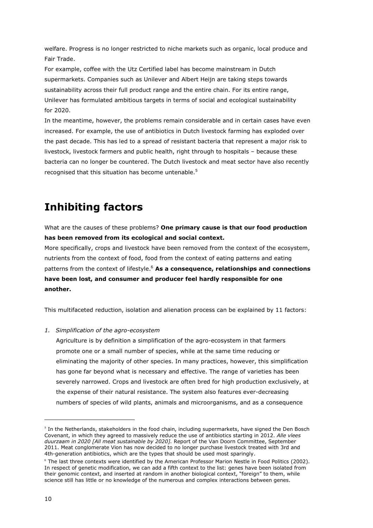welfare. Progress is no longer restricted to niche markets such as organic, local produce and Fair Trade.

For example, coffee with the Utz Certified label has become mainstream in Dutch supermarkets. Companies such as Unilever and Albert Heijn are taking steps towards sustainability across their full product range and the entire chain. For its entire range, Unilever has formulated ambitious targets in terms of social and ecological sustainability for 2020.

In the meantime, however, the problems remain considerable and in certain cases have even increased. For example, the use of antibiotics in Dutch livestock farming has exploded over the past decade. This has led to a spread of resistant bacteria that represent a major risk to livestock, livestock farmers and public health, right through to hospitals – because these bacteria can no longer be countered. The Dutch livestock and meat sector have also recently recognised that this situation has become untenable.<sup>5</sup>

## Inhibiting factors

What are the causes of these problems? One primary cause is that our food production has been removed from its ecological and social context.

More specifically, crops and livestock have been removed from the context of the ecosystem, nutrients from the context of food, food from the context of eating patterns and eating patterns from the context of lifestyle.<sup>6</sup> As a consequence, relationships and connections have been lost, and consumer and producer feel hardly responsible for one another.

This multifaceted reduction, isolation and alienation process can be explained by 11 factors:

1. Simplification of the agro-ecosystem

Agriculture is by definition a simplification of the agro-ecosystem in that farmers promote one or a small number of species, while at the same time reducing or eliminating the majority of other species. In many practices, however, this simplification has gone far beyond what is necessary and effective. The range of varieties has been severely narrowed. Crops and livestock are often bred for high production exclusively, at the expense of their natural resistance. The system also features ever-decreasing numbers of species of wild plants, animals and microorganisms, and as a consequence

 $5$  In the Netherlands, stakeholders in the food chain, including supermarkets, have signed the Den Bosch Covenant, in which they agreed to massively reduce the use of antibiotics starting in 2012. Alle vlees duurzaam in 2020 [All meat sustainable by 2020]. Report of the Van Doorn Committee, September 2011. Meat conglomerate Vion has now decided to no longer purchase livestock treated with 3rd and 4th-generation antibiotics, which are the types that should be used most sparingly.

<sup>6</sup> The last three contexts were identified by the American Professor Marion Nestle in Food Politics (2002). In respect of genetic modification, we can add a fifth context to the list: genes have been isolated from their genomic context, and inserted at random in another biological context, "foreign" to them, while science still has little or no knowledge of the numerous and complex interactions between genes.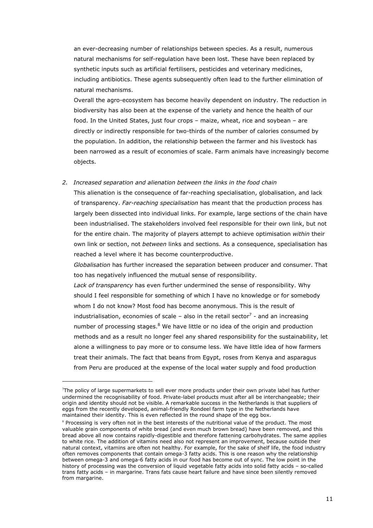an ever-decreasing number of relationships between species. As a result, numerous natural mechanisms for self-regulation have been lost. These have been replaced by synthetic inputs such as artificial fertilisers, pesticides and veterinary medicines, including antibiotics. These agents subsequently often lead to the further elimination of natural mechanisms.

Overall the agro-ecosystem has become heavily dependent on industry. The reduction in biodiversity has also been at the expense of the variety and hence the health of our food. In the United States, just four crops – maize, wheat, rice and soybean – are directly or indirectly responsible for two-thirds of the number of calories consumed by the population. In addition, the relationship between the farmer and his livestock has been narrowed as a result of economies of scale. Farm animals have increasingly become objects.

#### 2. Increased separation and alienation between the links in the food chain

This alienation is the consequence of far-reaching specialisation, globalisation, and lack of transparency. Far-reaching specialisation has meant that the production process has largely been dissected into individual links. For example, large sections of the chain have been industrialised. The stakeholders involved feel responsible for their own link, but not for the entire chain. The majority of players attempt to achieve optimisation within their own link or section, not between links and sections. As a consequence, specialisation has reached a level where it has become counterproductive.

Globalisation has further increased the separation between producer and consumer. That too has negatively influenced the mutual sense of responsibility.

Lack of transparency has even further undermined the sense of responsibility. Why should I feel responsible for something of which I have no knowledge or for somebody whom I do not know? Most food has become anonymous. This is the result of industrialisation, economies of scale – also in the retail sector<sup>7</sup> - and an increasing number of processing stages.<sup>8</sup> We have little or no idea of the origin and production methods and as a result no longer feel any shared responsibility for the sustainability, let alone a willingness to pay more or to consume less. We have little idea of how farmers treat their animals. The fact that beans from Egypt, roses from Kenya and asparagus from Peru are produced at the expense of the local water supply and food production

i<br>I

<sup>7</sup> The policy of large supermarkets to sell ever more products under their own private label has further undermined the recognisability of food. Private-label products must after all be interchangeable; their origin and identity should not be visible. A remarkable success in the Netherlands is that suppliers of eggs from the recently developed, animal-friendly Rondeel farm type in the Netherlands have maintained their identity. This is even reflected in the round shape of the egg box.

<sup>&</sup>lt;sup>8</sup> Processing is very often not in the best interests of the nutritional value of the product. The most valuable grain components of white bread (and even much brown bread) have been removed, and this bread above all now contains rapidly-digestible and therefore fattening carbohydrates. The same applies to white rice. The addition of vitamins need also not represent an improvement, because outside their natural context, vitamins are often not healthy. For example, for the sake of shelf life, the food industry often removes components that contain omega-3 fatty acids. This is one reason why the relationship between omega-3 and omega-6 fatty acids in our food has become out of sync. The low point in the history of processing was the conversion of liquid vegetable fatty acids into solid fatty acids - so-called trans fatty acids – in margarine. Trans fats cause heart failure and have since been silently removed from margarine.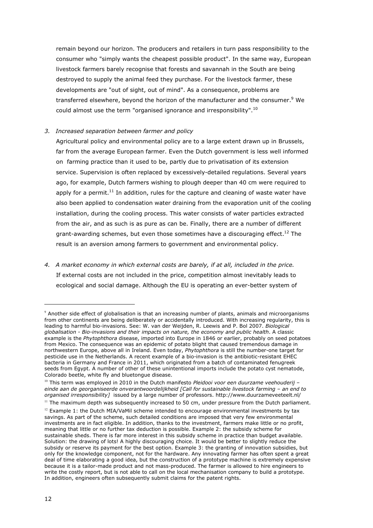remain beyond our horizon. The producers and retailers in turn pass responsibility to the consumer who "simply wants the cheapest possible product". In the same way, European livestock farmers barely recognise that forests and savannah in the South are being destroyed to supply the animal feed they purchase. For the livestock farmer, these developments are "out of sight, out of mind". As a consequence, problems are transferred elsewhere, beyond the horizon of the manufacturer and the consumer.<sup>9</sup> We could almost use the term "organised ignorance and irresponsibility".<sup>10</sup>

#### 3. Increased separation between farmer and policy

Agricultural policy and environmental policy are to a large extent drawn up in Brussels, far from the average European farmer. Even the Dutch government is less well informed on farming practice than it used to be, partly due to privatisation of its extension service. Supervision is often replaced by excessively-detailed regulations. Several years ago, for example, Dutch farmers wishing to plough deeper than 40 cm were required to apply for a permit.<sup>11</sup> In addition, rules for the capture and cleaning of waste water have also been applied to condensation water draining from the evaporation unit of the cooling installation, during the cooling process. This water consists of water particles extracted from the air, and as such is as pure as can be. Finally, there are a number of different grant-awarding schemes, but even those sometimes have a discouraging effect.<sup>12</sup> The result is an aversion among farmers to government and environmental policy.

4. A market economy in which external costs are barely, if at all, included in the price. If external costs are not included in the price, competition almost inevitably leads to ecological and social damage. Although the EU is operating an ever-better system of

<sup>9</sup> Another side effect of globalisation is that an increasing number of plants, animals and microorganisms from other continents are being deliberately or accidentally introduced. With increasing regularity, this is leading to harmful bio-invasions. See: W. van der Weijden, R. Leewis and P. Bol 2007. Biological globalisation - Bio-invasions and their impacts on nature, the economy and public health. A classic example is the Phytophthora disease, imported into Europe in 1846 or earlier, probably on seed potatoes from Mexico. The consequence was an epidemic of potato blight that caused tremendous damage in northwestern Europe, above all in Ireland. Even today, Phytophthora is still the number-one target for pesticide use in the Netherlands. A recent example of a bio-invasion is the antibiotic-resistant EHEC bacteria in Germany and France in 2011, which originated from a batch of contaminated fenugreek seeds from Egypt. A number of other of these unintentional imports include the potato cyst nematode, Colorado beetle, white fly and bluetongue disease.

 $10$  This term was employed in 2010 in the Dutch manifesto Pleidooi voor een duurzame veehouderij – einde aan de georganiseerde onverantwoordelijkheid [Call for sustainable livestock farming – an end to organised irresponsibility] issued by a large number of professors. http://www.duurzameveeteelt.nl/

 $<sup>11</sup>$  The maximum depth was subsequently increased to 50 cm, under pressure from the Dutch parliament.</sup>

 $12$  Example 1: the Dutch MIA/VaMil scheme intended to encourage environmental investments by tax savings. As part of the scheme, such detailed conditions are imposed that very few environmental investments are in fact eligible. In addition, thanks to the investment, farmers make little or no profit, meaning that little or no further tax deduction is possible. Example 2: the subsidy scheme for sustainable sheds. There is far more interest in this subsidy scheme in practice than budget available. Solution: the drawing of lots! A highly discouraging choice. It would be better to slightly reduce the subsidy or reserve its payment for the best option. Example 3: the granting of innovation subsidies, but only for the knowledge component, not for the hardware. Any innovating farmer has often spent a great deal of time elaborating a good idea, but the construction of a prototype machine is extremely expensive because it is a tailor-made product and not mass-produced. The farmer is allowed to hire engineers to write the costly report, but is not able to call on the local mechanisation company to build a prototype. In addition, engineers often subsequently submit claims for the patent rights.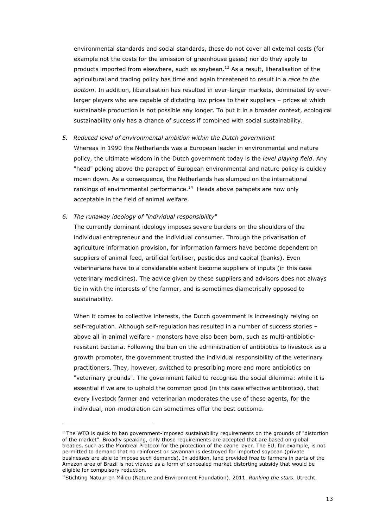environmental standards and social standards, these do not cover all external costs (for example not the costs for the emission of greenhouse gases) nor do they apply to products imported from elsewhere, such as soybean.<sup>13</sup> As a result, liberalisation of the agricultural and trading policy has time and again threatened to result in a race to the bottom. In addition, liberalisation has resulted in ever-larger markets, dominated by everlarger players who are capable of dictating low prices to their suppliers – prices at which sustainable production is not possible any longer. To put it in a broader context, ecological sustainability only has a chance of success if combined with social sustainability.

#### 5. Reduced level of environmental ambition within the Dutch government

Whereas in 1990 the Netherlands was a European leader in environmental and nature policy, the ultimate wisdom in the Dutch government today is the level playing field. Any "head" poking above the parapet of European environmental and nature policy is quickly mown down. As a consequence, the Netherlands has slumped on the international rankings of environmental performance.<sup>14</sup> Heads above parapets are now only acceptable in the field of animal welfare.

#### 6. The runaway ideology of "individual responsibility"

i<br>I

The currently dominant ideology imposes severe burdens on the shoulders of the individual entrepreneur and the individual consumer. Through the privatisation of agriculture information provision, for information farmers have become dependent on suppliers of animal feed, artificial fertiliser, pesticides and capital (banks). Even veterinarians have to a considerable extent become suppliers of inputs (in this case veterinary medicines). The advice given by these suppliers and advisors does not always tie in with the interests of the farmer, and is sometimes diametrically opposed to sustainability.

When it comes to collective interests, the Dutch government is increasingly relying on self-regulation. Although self-regulation has resulted in a number of success stories – above all in animal welfare - monsters have also been born, such as multi-antibioticresistant bacteria. Following the ban on the administration of antibiotics to livestock as a growth promoter, the government trusted the individual responsibility of the veterinary practitioners. They, however, switched to prescribing more and more antibiotics on "veterinary grounds". The government failed to recognise the social dilemma: while it is essential if we are to uphold the common good (in this case effective antibiotics), that every livestock farmer and veterinarian moderates the use of these agents, for the individual, non-moderation can sometimes offer the best outcome.

<sup>&</sup>lt;sup>13</sup> The WTO is quick to ban government-imposed sustainability requirements on the grounds of "distortion of the market". Broadly speaking, only those requirements are accepted that are based on global treaties, such as the Montreal Protocol for the protection of the ozone layer. The EU, for example, is not permitted to demand that no rainforest or savannah is destroyed for imported soybean (private businesses are able to impose such demands). In addition, land provided free to farmers in parts of the Amazon area of Brazil is not viewed as a form of concealed market-distorting subsidy that would be eligible for compulsory reduction.

<sup>&</sup>lt;sup>14</sup>Stichting Natuur en Milieu (Nature and Environment Foundation). 2011. Ranking the stars. Utrecht.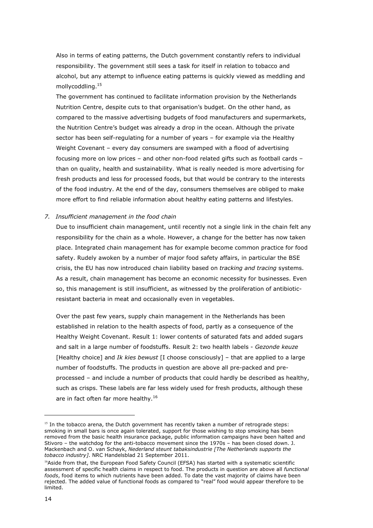Also in terms of eating patterns, the Dutch government constantly refers to individual responsibility. The government still sees a task for itself in relation to tobacco and alcohol, but any attempt to influence eating patterns is quickly viewed as meddling and mollycoddling.15

The government has continued to facilitate information provision by the Netherlands Nutrition Centre, despite cuts to that organisation's budget. On the other hand, as compared to the massive advertising budgets of food manufacturers and supermarkets, the Nutrition Centre's budget was already a drop in the ocean. Although the private sector has been self-regulating for a number of years – for example via the Healthy Weight Covenant – every day consumers are swamped with a flood of advertising focusing more on low prices – and other non-food related gifts such as football cards – than on quality, health and sustainability. What is really needed is more advertising for fresh products and less for processed foods, but that would be contrary to the interests of the food industry. At the end of the day, consumers themselves are obliged to make more effort to find reliable information about healthy eating patterns and lifestyles.

#### 7. Insufficient management in the food chain

Due to insufficient chain management, until recently not a single link in the chain felt any responsibility for the chain as a whole. However, a change for the better has now taken place. Integrated chain management has for example become common practice for food safety. Rudely awoken by a number of major food safety affairs, in particular the BSE crisis, the EU has now introduced chain liability based on tracking and tracing systems. As a result, chain management has become an economic necessity for businesses. Even so, this management is still insufficient, as witnessed by the proliferation of antibioticresistant bacteria in meat and occasionally even in vegetables.

Over the past few years, supply chain management in the Netherlands has been established in relation to the health aspects of food, partly as a consequence of the Healthy Weight Covenant. Result 1: lower contents of saturated fats and added sugars and salt in a large number of foodstuffs. Result 2: two health labels - Gezonde keuze [Healthy choice] and *Ik kies bewust* [I choose consciously] – that are applied to a large number of foodstuffs. The products in question are above all pre-packed and preprocessed – and include a number of products that could hardly be described as healthy, such as crisps. These labels are far less widely used for fresh products, although these are in fact often far more healthy.<sup>16</sup>

 $15$  In the tobacco arena, the Dutch government has recently taken a number of retrograde steps: smoking in small bars is once again tolerated, support for those wishing to stop smoking has been removed from the basic health insurance package, public information campaigns have been halted and Stivoro – the watchdog for the anti-tobacco movement since the 1970s – has been closed down. J. Mackenbach and O. van Schayk, Nederland steunt tabaksindustrie [The Netherlands supports the tobacco industry]. NRC Handelsblad 21 September 2011.

<sup>&</sup>lt;sup>16</sup>Aside from that, the European Food Safety Council (EFSA) has started with a systematic scientific assessment of specific health claims in respect to food. The products in question are above all functional foods, food items to which nutrients have been added. To date the vast majority of claims have been rejected. The added value of functional foods as compared to "real" food would appear therefore to be limited.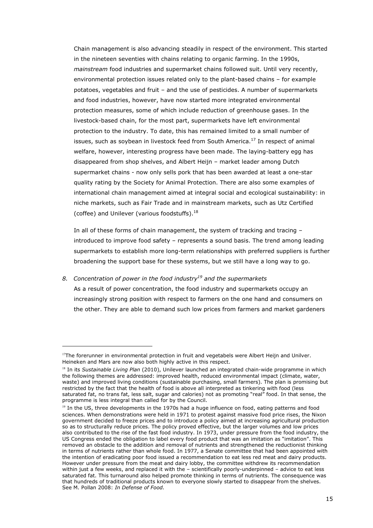Chain management is also advancing steadily in respect of the environment. This started in the nineteen seventies with chains relating to organic farming. In the 1990s, mainstream food industries and supermarket chains followed suit. Until very recently, environmental protection issues related only to the plant-based chains – for example potatoes, vegetables and fruit – and the use of pesticides. A number of supermarkets and food industries, however, have now started more integrated environmental protection measures, some of which include reduction of greenhouse gases. In the livestock-based chain, for the most part, supermarkets have left environmental protection to the industry. To date, this has remained limited to a small number of issues, such as soybean in livestock feed from South America.<sup>17</sup> In respect of animal welfare, however, interesting progress have been made. The laying-battery egg has disappeared from shop shelves, and Albert Heijn – market leader among Dutch supermarket chains - now only sells pork that has been awarded at least a one-star quality rating by the Society for Animal Protection. There are also some examples of international chain management aimed at integral social and ecological sustainability: in niche markets, such as Fair Trade and in mainstream markets, such as Utz Certified (coffee) and Unilever (various foodstuffs).<sup>18</sup>

In all of these forms of chain management, the system of tracking and tracing – introduced to improve food safety – represents a sound basis. The trend among leading supermarkets to establish more long-term relationships with preferred suppliers is further broadening the support base for these systems, but we still have a long way to go.

#### 8. Concentration of power in the food industry<sup>19</sup> and the supermarkets

i<br>I

As a result of power concentration, the food industry and supermarkets occupy an increasingly strong position with respect to farmers on the one hand and consumers on the other. They are able to demand such low prices from farmers and market gardeners

<sup>&</sup>lt;sup>17</sup>The forerunner in environmental protection in fruit and vegetabels were Albert Heijn and Unilver. Heineken and Mars are now also both highly active in this respect.

 $18$  In its Sustainable Living Plan (2010), Unilever launched an integrated chain-wide programme in which the following themes are addressed: improved health, reduced environmental impact (climate, water, waste) and improved living conditions (sustainable purchasing, small farmers). The plan is promising but restricted by the fact that the health of food is above all interpreted as tinkering with food (less saturated fat, no trans fat, less salt, sugar and calories) not as promoting "real" food. In that sense, the programme is less integral than called for by the Council.

<sup>&</sup>lt;sup>19</sup> In the US, three developments in the 1970s had a huge influence on food, eating patterns and food sciences. When demonstrations were held in 1971 to protest against massive food price rises, the Nixon government decided to freeze prices and to introduce a policy aimed at increasing agricultural production so as to structurally reduce prices. The policy proved effective, but the larger volumes and low prices also contributed to the rise of the fast food industry. In 1973, under pressure from the food industry, the US Congress ended the obligation to label every food product that was an imitation as "imitation". This removed an obstacle to the addition and removal of nutrients and strengthened the reductionist thinking in terms of nutrients rather than whole food. In 1977, a Senate committee that had been appointed with the intention of eradicating poor food issued a recommendation to eat less red meat and dairy products. However under pressure from the meat and dairy lobby, the committee withdrew its recommendation within just a few weeks, and replaced it with the – scientifically poorly-underpinned – advice to eat less saturated fat. This turnaround also helped promote thinking in terms of nutrients. The consequence was that hundreds of traditional products known to everyone slowly started to disappear from the shelves. See M. Pollan 2008: In Defense of Food.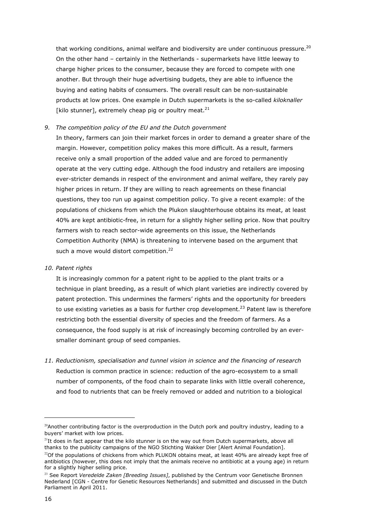that working conditions, animal welfare and biodiversity are under continuous pressure.<sup>20</sup> On the other hand – certainly in the Netherlands - supermarkets have little leeway to charge higher prices to the consumer, because they are forced to compete with one another. But through their huge advertising budgets, they are able to influence the buying and eating habits of consumers. The overall result can be non-sustainable products at low prices. One example in Dutch supermarkets is the so-called kiloknaller [kilo stunner], extremely cheap pig or poultry meat. $^{21}$ 

#### 9. The competition policy of the EU and the Dutch government

In theory, farmers can join their market forces in order to demand a greater share of the margin. However, competition policy makes this more difficult. As a result, farmers receive only a small proportion of the added value and are forced to permanently operate at the very cutting edge. Although the food industry and retailers are imposing ever-stricter demands in respect of the environment and animal welfare, they rarely pay higher prices in return. If they are willing to reach agreements on these financial questions, they too run up against competition policy. To give a recent example: of the populations of chickens from which the Plukon slaughterhouse obtains its meat, at least 40% are kept antibiotic-free, in return for a slightly higher selling price. Now that poultry farmers wish to reach sector-wide agreements on this issue, the Netherlands Competition Authority (NMA) is threatening to intervene based on the argument that such a move would distort competition.<sup>22</sup>

#### 10. Patent rights

It is increasingly common for a patent right to be applied to the plant traits or a technique in plant breeding, as a result of which plant varieties are indirectly covered by patent protection. This undermines the farmers' rights and the opportunity for breeders to use existing varieties as a basis for further crop development.<sup>23</sup> Patent law is therefore restricting both the essential diversity of species and the freedom of farmers. As a consequence, the food supply is at risk of increasingly becoming controlled by an eversmaller dominant group of seed companies.

11. Reductionism, specialisation and tunnel vision in science and the financing of research Reduction is common practice in science: reduction of the agro-ecosystem to a small number of components, of the food chain to separate links with little overall coherence, and food to nutrients that can be freely removed or added and nutrition to a biological

 $^{20}$ Another contributing factor is the overproduction in the Dutch pork and poultry industry, leading to a buyers' market with low prices.

 $21$ It does in fact appear that the kilo stunner is on the way out from Dutch supermarkets, above all thanks to the publicity campaigns of the NGO Stichting Wakker Dier [Alert Animal Foundation].

 $^{22}$ Of the populations of chickens from which PLUKON obtains meat, at least 40% are already kept free of antibiotics (however, this does not imply that the animals receive no antibiotic at a young age) in return for a slightly higher selling price.

<sup>&</sup>lt;sup>23</sup> See Report Veredelde Zaken [Breeding Issues], published by the Centrum voor Genetische Bronnen Nederland [CGN - Centre for Genetic Resources Netherlands] and submitted and discussed in the Dutch Parliament in April 2011.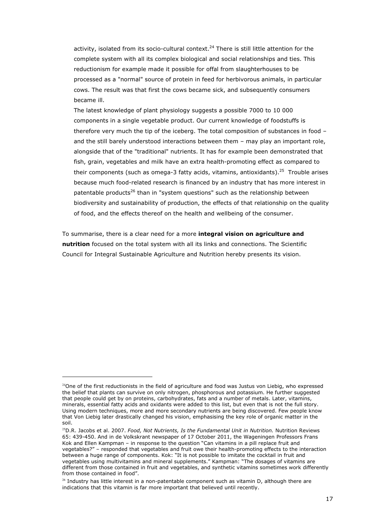activity, isolated from its socio-cultural context.<sup>24</sup> There is still little attention for the complete system with all its complex biological and social relationships and ties. This reductionism for example made it possible for offal from slaughterhouses to be processed as a "normal" source of protein in feed for herbivorous animals, in particular cows. The result was that first the cows became sick, and subsequently consumers became ill.

The latest knowledge of plant physiology suggests a possible 7000 to 10 000 components in a single vegetable product. Our current knowledge of foodstuffs is therefore very much the tip of the iceberg. The total composition of substances in food – and the still barely understood interactions between them – may play an important role, alongside that of the "traditional" nutrients. It has for example been demonstrated that fish, grain, vegetables and milk have an extra health-promoting effect as compared to their components (such as omega-3 fatty acids, vitamins, antioxidants).<sup>25</sup> Trouble arises because much food-related research is financed by an industry that has more interest in patentable products<sup>26</sup> than in "system questions" such as the relationship between biodiversity and sustainability of production, the effects of that relationship on the quality of food, and the effects thereof on the health and wellbeing of the consumer.

To summarise, there is a clear need for a more integral vision on agriculture and nutrition focused on the total system with all its links and connections. The Scientific Council for Integral Sustainable Agriculture and Nutrition hereby presents its vision.

i<br>I

 $24$ One of the first reductionists in the field of agriculture and food was Justus von Liebig, who expressed the belief that plants can survive on only nitrogen, phosphorous and potassium. He further suggested that people could get by on proteins, carbohydrates, fats and a number of metals. Later, vitamins, minerals, essential fatty acids and oxidants were added to this list, but even that is not the full story. Using modern techniques, more and more secondary nutrients are being discovered. Few people know that Von Liebig later drastically changed his vision, emphasising the key role of organic matter in the soil.

<sup>&</sup>lt;sup>25</sup>D.R. Jacobs et al. 2007. Food, Not Nutrients, Is the Fundamental Unit in Nutrition. Nutrition Reviews 65: 439-450. And in de Volkskrant newspaper of 17 October 2011, the Wageningen Professors Frans Kok and Ellen Kampman – in response to the question "Can vitamins in a pill replace fruit and vegetables?" – responded that vegetables and fruit owe their health-promoting effects to the interaction between a huge range of components. Kok: "It is not possible to imitate the cocktail in fruit and vegetables using multivitamins and mineral supplements." Kampman: "The dosages of vitamins are different from those contained in fruit and vegetables, and synthetic vitamins sometimes work differently from those contained in food".

 $26$  Industry has little interest in a non-patentable component such as vitamin D, although there are indications that this vitamin is far more important that believed until recently.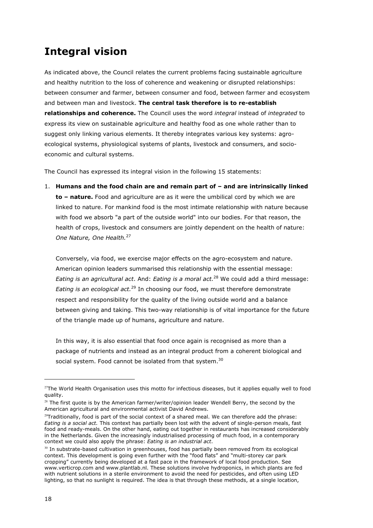## Integral vision

As indicated above, the Council relates the current problems facing sustainable agriculture and healthy nutrition to the loss of coherence and weakening or disrupted relationships: between consumer and farmer, between consumer and food, between farmer and ecosystem and between man and livestock. The central task therefore is to re-establish relationships and coherence. The Council uses the word integral instead of integrated to express its view on sustainable agriculture and healthy food as one whole rather than to suggest only linking various elements. It thereby integrates various key systems: agroecological systems, physiological systems of plants, livestock and consumers, and socioeconomic and cultural systems.

The Council has expressed its integral vision in the following 15 statements:

1. Humans and the food chain are and remain part of – and are intrinsically linked to - nature. Food and agriculture are as it were the umbilical cord by which we are linked to nature. For mankind food is the most intimate relationship with nature because with food we absorb "a part of the outside world" into our bodies. For that reason, the health of crops, livestock and consumers are jointly dependent on the health of nature: One Nature, One Health.<sup>27</sup>

Conversely, via food, we exercise major effects on the agro-ecosystem and nature. American opinion leaders summarised this relationship with the essential message: Eating is an agricultural act. And: Eating is a moral act.<sup>28</sup> We could add a third message: Eating is an ecological act.<sup>29</sup> In choosing our food, we must therefore demonstrate respect and responsibility for the quality of the living outside world and a balance between giving and taking. This two-way relationship is of vital importance for the future of the triangle made up of humans, agriculture and nature.

In this way, it is also essential that food once again is recognised as more than a package of nutrients and instead as an integral product from a coherent biological and social system. Food cannot be isolated from that system.<sup>30</sup>

 $27$ The World Health Organisation uses this motto for infectious diseases, but it applies equally well to food quality.

 $28$  The first quote is by the American farmer/writer/opinion leader Wendell Berry, the second by the American agricultural and environmental activist David Andrews.

 $29$ Traditionally, food is part of the social context of a shared meal. We can therefore add the phrase: Eating is a social act. This context has partially been lost with the advent of single-person meals, fast food and ready-meals. On the other hand, eating out together in restaurants has increased considerably in the Netherlands. Given the increasingly industrialised processing of much food, in a contemporary context we could also apply the phrase: Eating is an industrial act.

<sup>&</sup>lt;sup>30</sup> In substrate-based cultivation in greenhouses, food has partially been removed from its ecological context. This development is going even further with the "food flats" and "multi-storey car park cropping" currently being developed at a fast pace in the framework of local food production. See www.verticrop.com and www.plantlab.nl. These solutions involve hydroponics, in which plants are fed with nutrient solutions in a sterile environment to avoid the need for pesticides, and often using LED lighting, so that no sunlight is required. The idea is that through these methods, at a single location,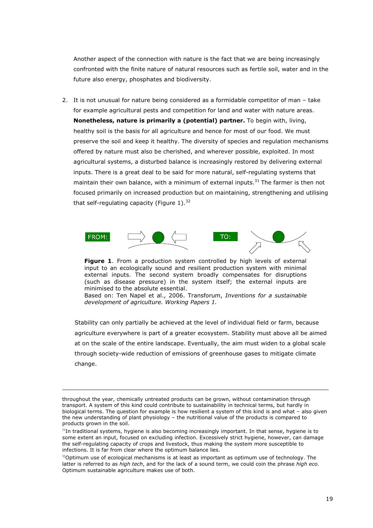Another aspect of the connection with nature is the fact that we are being increasingly confronted with the finite nature of natural resources such as fertile soil, water and in the future also energy, phosphates and biodiversity.

2. It is not unusual for nature being considered as a formidable competitor of man – take for example agricultural pests and competition for land and water with nature areas. Nonetheless, nature is primarily a (potential) partner. To begin with, living, healthy soil is the basis for all agriculture and hence for most of our food. We must preserve the soil and keep it healthy. The diversity of species and regulation mechanisms offered by nature must also be cherished, and wherever possible, exploited. In most agricultural systems, a disturbed balance is increasingly restored by delivering external inputs. There is a great deal to be said for more natural, self-regulating systems that maintain their own balance, with a minimum of external inputs.<sup>31</sup> The farmer is then not focused primarily on increased production but on maintaining, strengthening and utilising that self-regulating capacity (Figure  $1$ ).<sup>32</sup>



Figure 1. From a production system controlled by high levels of external input to an ecologically sound and resilient production system with minimal external inputs. The second system broadly compensates for disruptions (such as disease pressure) in the system itself; the external inputs are minimised to the absolute essential.

Based on: Ten Napel et al., 2006. Transforum, Inventions for a sustainable development of agriculture. Working Papers 1.

Stability can only partially be achieved at the level of individual field or farm, because agriculture everywhere is part of a greater ecosystem. Stability must above all be aimed at on the scale of the entire landscape. Eventually, the aim must widen to a global scale through society-wide reduction of emissions of greenhouse gases to mitigate climate change.

i,

throughout the year, chemically untreated products can be grown, without contamination through transport. A system of this kind could contribute to sustainability in technical terms, but hardly in biological terms. The question for example is how resilient a system of this kind is and what – also given the new understanding of plant physiology – the nutritional value of the products is compared to products grown in the soil.

<sup>&</sup>lt;sup>31</sup>In traditional systems, hygiene is also becoming increasingly important. In that sense, hygiene is to some extent an input, focused on excluding infection. Excessively strict hygiene, however, can damage the self-regulating capacity of crops and livestock, thus making the system more susceptible to infections. It is far from clear where the optimum balance lies.

 $32$ Optimum use of ecological mechanisms is at least as important as optimum use of technology. The latter is referred to as high tech, and for the lack of a sound term, we could coin the phrase high eco. Optimum sustainable agriculture makes use of both.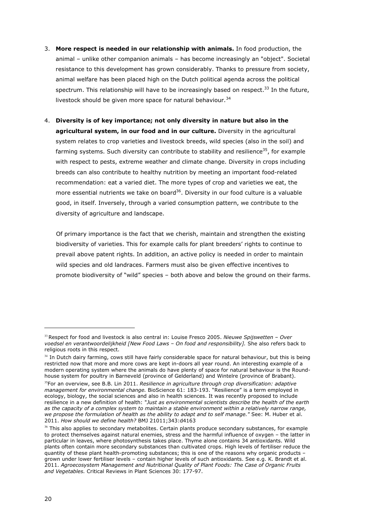- 3. More respect is needed in our relationship with animals. In food production, the animal – unlike other companion animals – has become increasingly an "object". Societal resistance to this development has grown considerably. Thanks to pressure from society, animal welfare has been placed high on the Dutch political agenda across the political spectrum. This relationship will have to be increasingly based on respect.<sup>33</sup> In the future, livestock should be given more space for natural behaviour.<sup>34</sup>
- 4. Diversity is of key importance; not only diversity in nature but also in the agricultural system, in our food and in our culture. Diversity in the agricultural system relates to crop varieties and livestock breeds, wild species (also in the soil) and farming systems. Such diversity can contribute to stability and resilience<sup>35</sup>, for example with respect to pests, extreme weather and climate change. Diversity in crops including breeds can also contribute to healthy nutrition by meeting an important food-related recommendation: eat a varied diet. The more types of crop and varieties we eat, the more essential nutrients we take on board<sup>36</sup>. Diversity in our food culture is a valuable good, in itself. Inversely, through a varied consumption pattern, we contribute to the diversity of agriculture and landscape.

Of primary importance is the fact that we cherish, maintain and strengthen the existing biodiversity of varieties. This for example calls for plant breeders' rights to continue to prevail above patent rights. In addition, an active policy is needed in order to maintain wild species and old landraces. Farmers must also be given effective incentives to promote biodiversity of "wild" species – both above and below the ground on their farms.

 $33$ Respect for food and livestock is also central in: Louise Fresco 2005. Nieuwe Spijswetten - Over voedsel en verantwoordelijkheid [New Food Laws – On food and responsibility]. She also refers back to religious roots in this respect.

<sup>&</sup>lt;sup>34</sup> In Dutch dairy farming, cows still have fairly considerable space for natural behaviour, but this is being restricted now that more and more cows are kept in-doors all year round. An interesting example of a modern operating system where the animals do have plenty of space for natural behaviour is the Roundhouse system for poultry in Barneveld (province of Gelderland) and Wintelre (province of Brabant). <sup>35</sup>For an overview, see B.B. Lin 2011. Resilience in agriculture through crop diversification: adaptive management for environmental change. BioScience 61: 183-193. "Resilience" is a term employed in ecology, biology, the social sciences and also in health sciences. It was recently proposed to include resilience in a new definition of health: "Just as environmental scientists describe the health of the earth as the capacity of a complex system to maintain a stable environment within a relatively narrow range, we propose the formulation of health as the ability to adapt and to self manage." See: M. Huber et al. 2011. How should we define health? BMJ 21011;343:d4163

<sup>&</sup>lt;sup>36</sup> This also applies to secondary metabolites. Certain plants produce secondary substances, for example to protect themselves against natural enemies, stress and the harmful influence of oxygen – the latter in particular in leaves, where photosynthesis takes place. Thyme alone contains 34 antioxidants. Wild plants often contain more secondary substances than cultivated crops. High levels of fertiliser reduce the quantity of these plant health-promoting substances; this is one of the reasons why organic products – grown under lower fertiliser levels – contain higher levels of such antioxidants. See e.g. K. Brandt et al. 2011. Agroecosystem Management and Nutritional Quality of Plant Foods: The Case of Organic Fruits and Vegetables. Critical Reviews in Plant Sciences 30: 177-97.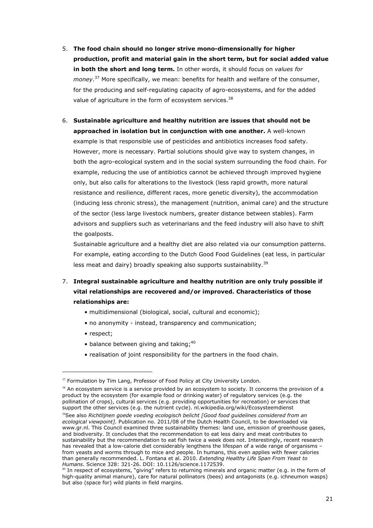- 5. The food chain should no longer strive mono-dimensionally for higher production, profit and material gain in the short term, but for social added value in both the short and long term. In other words, it should focus on values for money.<sup>37</sup> More specifically, we mean: benefits for health and welfare of the consumer, for the producing and self-regulating capacity of agro-ecosystems, and for the added value of agriculture in the form of ecosystem services.<sup>38</sup>
- 6. Sustainable agriculture and healthy nutrition are issues that should not be approached in isolation but in conjunction with one another. A well-known example is that responsible use of pesticides and antibiotics increases food safety. However, more is necessary. Partial solutions should give way to system changes, in both the agro-ecological system and in the social system surrounding the food chain. For example, reducing the use of antibiotics cannot be achieved through improved hygiene only, but also calls for alterations to the livestock (less rapid growth, more natural resistance and resilience, different races, more genetic diversity), the accommodation (inducing less chronic stress), the management (nutrition, animal care) and the structure of the sector (less large livestock numbers, greater distance between stables). Farm advisors and suppliers such as veterinarians and the feed industry will also have to shift the goalposts.

Sustainable agriculture and a healthy diet are also related via our consumption patterns. For example, eating according to the Dutch Good Food Guidelines (eat less, in particular less meat and dairy) broadly speaking also supports sustainability.<sup>39</sup>

- 7. Integral sustainable agriculture and healthy nutrition are only truly possible if vital relationships are recovered and/or improved. Characteristics of those relationships are:
	- multidimensional (biological, social, cultural and economic);
	- no anonymity instead, transparency and communication;
	- respect;

i<br>I

- balance between giving and taking:  $40$
- realisation of joint responsibility for the partners in the food chain.

 $37$  Formulation by Tim Lang, Professor of Food Policy at City University London.

 $38$  An ecosystem service is a service provided by an ecosystem to society. It concerns the provision of a product by the ecosystem (for example food or drinking water) of regulatory services (e.g. the pollination of crops), cultural services (e.g. providing opportunities for recreation) or services that support the other services (e.g. the nutrient cycle). nl.wikipedia.org/wiki/Ecosysteemdienst <sup>39</sup>See also Richtlijnen goede voeding ecologisch belicht [Good food quidelines considered from an ecological viewpoint]. Publication no. 2011/08 of the Dutch Health Council, to be downloaded via www.gr.nl. This Council examined three sustainability themes: land use, emission of greenhouse gases, and biodiversity. It concludes that the recommendation to eat less dairy and meat contributes to sustainability but the recommendation to eat fish twice a week does not. Interestingly, recent research has revealed that a low-calorie diet considerably lengthens the lifespan of a wide range of organisms from yeasts and worms through to mice and people. In humans, this even applies with fewer calories than generally recommended. L. Fontana et al. 2010. Extending Healthy Life Span From Yeast to Humans. Science 328: 321-26. DOI: 10.1126/science.1172539.

<sup>&</sup>lt;sup>40</sup> In respect of ecosystems, "giving" refers to returning minerals and organic matter (e.g. in the form of high-quality animal manure), care for natural pollinators (bees) and antagonists (e.g. ichneumon wasps) but also (space for) wild plants in field margins.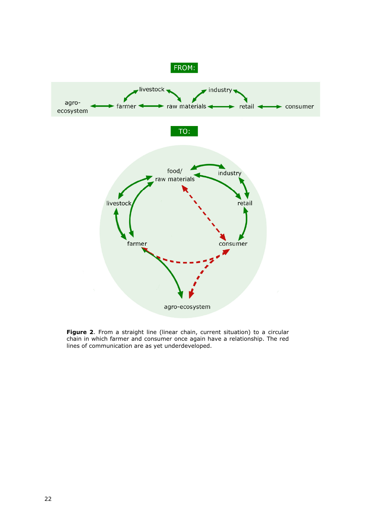

**Figure 2.** From a straight line (linear chain, current situation) to a circular chain in which farmer and consumer once again have a relationship. The red lines of communication are as yet underdeveloped.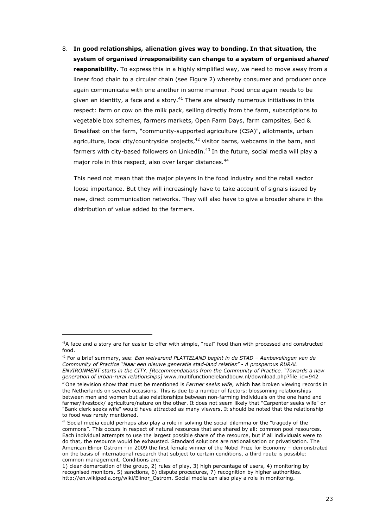8. In good relationships, alienation gives way to bonding. In that situation, the system of organised irresponsibility can change to a system of organised shared responsibility. To express this in a highly simplified way, we need to move away from a linear food chain to a circular chain (see Figure 2) whereby consumer and producer once again communicate with one another in some manner. Food once again needs to be given an identity, a face and a story.<sup>41</sup> There are already numerous initiatives in this respect: farm or cow on the milk pack, selling directly from the farm, subscriptions to vegetable box schemes, farmers markets, Open Farm Days, farm campsites, Bed & Breakfast on the farm, "community-supported agriculture (CSA)", allotments, urban agriculture, local city/countryside projects, $42$  visitor barns, webcams in the barn, and farmers with city-based followers on LinkedIn. $^{43}$  In the future, social media will play a major role in this respect, also over larger distances.<sup>44</sup>

This need not mean that the major players in the food industry and the retail sector loose importance. But they will increasingly have to take account of signals issued by new, direct communication networks. They will also have to give a broader share in the distribution of value added to the farmers.

i<br>I

<sup>&</sup>lt;sup>41</sup>A face and a story are far easier to offer with simple, "real" food than with processed and constructed food.

 $42$  For a brief summary, see: Een welvarend PLATTELAND begint in de STAD - Aanbevelingen van de Community of Practice "Naar een nieuwe generatie stad-land relaties" - A prosperous RURAL ENVIRONMENT starts in the CITY. [Recommendations from the Community of Practice. "Towards a new generation of urban-rural relationships] www.multifunctionelelandbouw.nl/download.php?file\_id=942

 $43$ One television show that must be mentioned is Farmer seeks wife, which has broken viewing records in the Netherlands on several occasions. This is due to a number of factors: blossoming relationships between men and women but also relationships between non-farming individuals on the one hand and farmer/livestock/ agriculture/nature on the other. It does not seem likely that "Carpenter seeks wife" or "Bank clerk seeks wife" would have attracted as many viewers. It should be noted that the relationship to food was rarely mentioned.

<sup>&</sup>lt;sup>44</sup> Social media could perhaps also play a role in solving the social dilemma or the "tragedy of the commons". This occurs in respect of natural resources that are shared by all: common pool resources. Each individual attempts to use the largest possible share of the resource, but if all individuals were to do that, the resource would be exhausted. Standard solutions are nationalisation or privatisation. The American Elinor Ostrom - in 2009 the first female winner of the Nobel Prize for Economy – demonstrated on the basis of international research that subject to certain conditions, a third route is possible: common management. Conditions are:

<sup>1)</sup> clear demarcation of the group, 2) rules of play, 3) high percentage of users, 4) monitoring by recognised monitors, 5) sanctions, 6) dispute procedures, 7) recognition by higher authorities. http://en.wikipedia.org/wiki/Elinor\_Ostrom. Social media can also play a role in monitoring.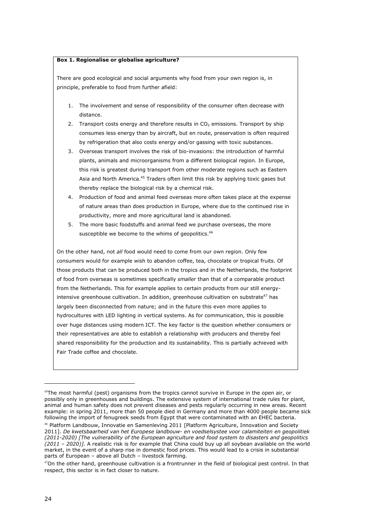#### Box 1. Regionalise or globalise agriculture?

There are good ecological and social arguments why food from your own region is, in principle, preferable to food from further afield:

- 1. The involvement and sense of responsibility of the consumer often decrease with distance.
- 2. Transport costs energy and therefore results in  $CO<sub>2</sub>$  emissions. Transport by ship consumes less energy than by aircraft, but en route, preservation is often required by refrigeration that also costs energy and/or gassing with toxic substances.
- 3. Overseas transport involves the risk of bio-invasions: the introduction of harmful plants, animals and microorganisms from a different biological region. In Europe, this risk is greatest during transport from other moderate regions such as Eastern Asia and North America.<sup>45</sup> Traders often limit this risk by applying toxic gases but thereby replace the biological risk by a chemical risk.
- 4. Production of food and animal feed overseas more often takes place at the expense of nature areas than does production in Europe, where due to the continued rise in productivity, more and more agricultural land is abandoned.
- 5. The more basic foodstuffs and animal feed we purchase overseas, the more susceptible we become to the whims of geopolitics.<sup>46</sup>

On the other hand, not all food would need to come from our own region. Only few consumers would for example wish to abandon coffee, tea, chocolate or tropical fruits. Of those products that can be produced both in the tropics and in the Netherlands, the footprint of food from overseas is sometimes specifically smaller than that of a comparable product from the Netherlands. This for example applies to certain products from our still energyintensive greenhouse cultivation. In addition, greenhouse cultivation on substrate<sup>47</sup> has largely been disconnected from nature; and in the future this even more applies to hydrocultures with LED lighting in vertical systems. As for communication, this is possible over huge distances using modern ICT. The key factor is the question whether consumers or their representatives are able to establish a relationship with producers and thereby feel shared responsibility for the production and its sustainability. This is partially achieved with Fair Trade coffee and chocolate.

 $45$ The most harmful (pest) organisms from the tropics cannot survive in Europe in the open air, or possibly only in greenhouses and buildings. The extensive system of international trade rules for plant, animal and human safety does not prevent diseases and pests regularly occurring in new areas. Recent example: in spring 2011, more than 50 people died in Germany and more than 4000 people became sick following the import of fenugreek seeds from Egypt that were contaminated with an EHEC bacteria.

<sup>&</sup>lt;sup>46</sup> Platform Landbouw, Innovatie en Samenleving 2011 [Platform Agriculture, Innovation and Society 2011]. De kwetsbaarheid van het Europese landbouw- en voedselsystee voor calamiteiten en geopolitiek (2011-2020) [The vulnerability of the European agriculture and food system to disasters and geopolitics  $(2011 - 2020)$ ]. A realistic risk is for example that China could buy up all soybean available on the world market, in the event of a sharp rise in domestic food prices. This would lead to a crisis in substantial parts of European – above all Dutch – livestock farming.

 $47$ On the other hand, greenhouse cultivation is a frontrunner in the field of biological pest control. In that respect, this sector is in fact closer to nature.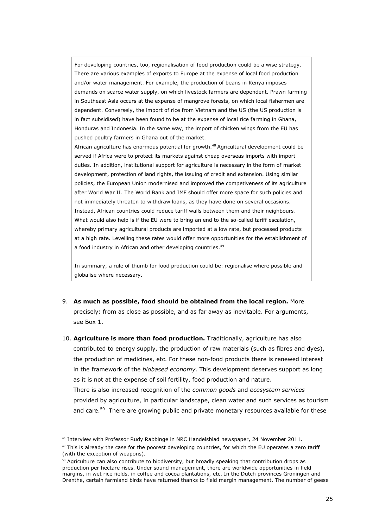For developing countries, too, regionalisation of food production could be a wise strategy. There are various examples of exports to Europe at the expense of local food production and/or water management. For example, the production of beans in Kenya imposes demands on scarce water supply, on which livestock farmers are dependent. Prawn farming in Southeast Asia occurs at the expense of mangrove forests, on which local fishermen are dependent. Conversely, the import of rice from Vietnam and the US (the US production is in fact subsidised) have been found to be at the expense of local rice farming in Ghana, Honduras and Indonesia. In the same way, the import of chicken wings from the EU has pushed poultry farmers in Ghana out of the market.

African agriculture has enormous potential for growth.<sup>48</sup> Agricultural development could be served if Africa were to protect its markets against cheap overseas imports with import duties. In addition, institutional support for agriculture is necessary in the form of market development, protection of land rights, the issuing of credit and extension. Using similar policies, the European Union modernised and improved the competiveness of its agriculture after World War II. The World Bank and IMF should offer more space for such policies and not immediately threaten to withdraw loans, as they have done on several occasions. Instead, African countries could reduce tariff walls between them and their neighbours. What would also help is if the EU were to bring an end to the so-called tariff escalation, whereby primary agricultural products are imported at a low rate, but processed products at a high rate. Levelling these rates would offer more opportunities for the establishment of a food industry in African and other developing countries.<sup>49</sup>

In summary, a rule of thumb for food production could be: regionalise where possible and globalise where necessary.

- 9. As much as possible, food should be obtained from the local region. More precisely: from as close as possible, and as far away as inevitable. For arguments, see Box 1.
- 10. Agriculture is more than food production. Traditionally, agriculture has also contributed to energy supply, the production of raw materials (such as fibres and dyes), the production of medicines, etc. For these non-food products there is renewed interest in the framework of the *biobased economy*. This development deserves support as long as it is not at the expense of soil fertility, food production and nature. There is also increased recognition of the *common goods* and ecosystem services provided by agriculture, in particular landscape, clean water and such services as tourism and care.<sup>50</sup> There are growing public and private monetary resources available for these

i<br>I

 $48$  Interview with Professor Rudy Rabbinge in NRC Handelsblad newspaper, 24 November 2011.

 $49$  This is already the case for the poorest developing countries, for which the EU operates a zero tariff (with the exception of weapons).

 $50$  Agriculture can also contribute to biodiversity, but broadly speaking that contribution drops as production per hectare rises. Under sound management, there are worldwide opportunities in field margins, in wet rice fields, in coffee and cocoa plantations, etc. In the Dutch provinces Groningen and Drenthe, certain farmland birds have returned thanks to field margin management. The number of geese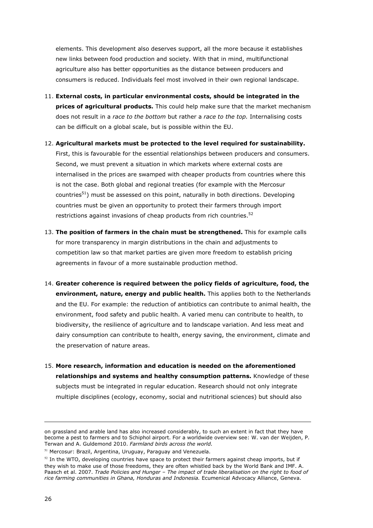elements. This development also deserves support, all the more because it establishes new links between food production and society. With that in mind, multifunctional agriculture also has better opportunities as the distance between producers and consumers is reduced. Individuals feel most involved in their own regional landscape.

- 11. External costs, in particular environmental costs, should be integrated in the prices of agricultural products. This could help make sure that the market mechanism does not result in a race to the bottom but rather a race to the top. Internalising costs can be difficult on a global scale, but is possible within the EU.
- 12. Agricultural markets must be protected to the level required for sustainability. First, this is favourable for the essential relationships between producers and consumers. Second, we must prevent a situation in which markets where external costs are internalised in the prices are swamped with cheaper products from countries where this is not the case. Both global and regional treaties (for example with the Mercosur countries<sup>51</sup>) must be assessed on this point, naturally in both directions. Developing countries must be given an opportunity to protect their farmers through import restrictions against invasions of cheap products from rich countries.<sup>52</sup>
- 13. The position of farmers in the chain must be strengthened. This for example calls for more transparency in margin distributions in the chain and adjustments to competition law so that market parties are given more freedom to establish pricing agreements in favour of a more sustainable production method.
- 14. Greater coherence is required between the policy fields of agriculture, food, the environment, nature, energy and public health. This applies both to the Netherlands and the EU. For example: the reduction of antibiotics can contribute to animal health, the environment, food safety and public health. A varied menu can contribute to health, to biodiversity, the resilience of agriculture and to landscape variation. And less meat and dairy consumption can contribute to health, energy saving, the environment, climate and the preservation of nature areas.
- 15. More research, information and education is needed on the aforementioned relationships and systems and healthy consumption patterns. Knowledge of these subjects must be integrated in regular education. Research should not only integrate multiple disciplines (ecology, economy, social and nutritional sciences) but should also

on grassland and arable land has also increased considerably, to such an extent in fact that they have become a pest to farmers and to Schiphol airport. For a worldwide overview see: W. van der Weijden, P. Terwan and A. Guldemond 2010. Farmland birds across the world.

<sup>&</sup>lt;sup>51</sup> Mercosur: Brazil, Argentina, Uruguay, Paraguay and Venezuela.

 $52$  In the WTO, developing countries have space to protect their farmers against cheap imports, but if they wish to make use of those freedoms, they are often whistled back by the World Bank and IMF. A. Paasch et al. 2007. Trade Policies and Hunger - The impact of trade liberalisation on the right to food of rice farming communities in Ghana, Honduras and Indonesia. Ecumenical Advocacy Alliance, Geneva.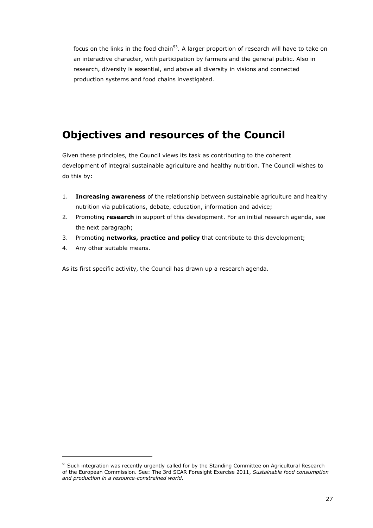focus on the links in the food chain<sup>53</sup>. A larger proportion of research will have to take on an interactive character, with participation by farmers and the general public. Also in research, diversity is essential, and above all diversity in visions and connected production systems and food chains investigated.

### Objectives and resources of the Council

Given these principles, the Council views its task as contributing to the coherent development of integral sustainable agriculture and healthy nutrition. The Council wishes to do this by:

- 1. **Increasing awareness** of the relationship between sustainable agriculture and healthy nutrition via publications, debate, education, information and advice;
- 2. Promoting research in support of this development. For an initial research agenda, see the next paragraph;
- 3. Promoting networks, practice and policy that contribute to this development;
- 4. Any other suitable means.

i<br>I

As its first specific activity, the Council has drawn up a research agenda.

 $53$  Such integration was recently urgently called for by the Standing Committee on Agricultural Research of the European Commission. See: The 3rd SCAR Foresight Exercise 2011, Sustainable food consumption and production in a resource-constrained world.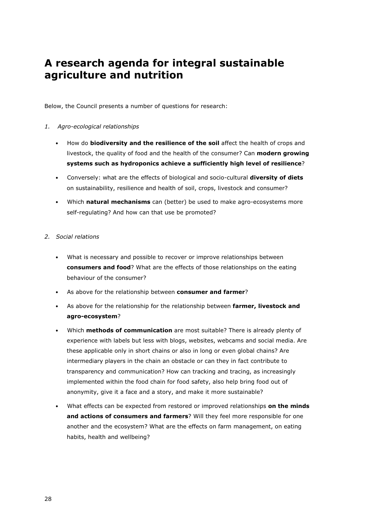### A research agenda for integral sustainable agriculture and nutrition

Below, the Council presents a number of questions for research:

#### 1. Agro-ecological relationships

- How do biodiversity and the resilience of the soil affect the health of crops and livestock, the quality of food and the health of the consumer? Can modern growing systems such as hydroponics achieve a sufficiently high level of resilience?
- Conversely: what are the effects of biological and socio-cultural **diversity of diets** on sustainability, resilience and health of soil, crops, livestock and consumer?
- Which natural mechanisms can (better) be used to make agro-ecosystems more self-regulating? And how can that use be promoted?

#### 2. Social relations

- What is necessary and possible to recover or improve relationships between consumers and food? What are the effects of those relationships on the eating behaviour of the consumer?
- As above for the relationship between consumer and farmer?
- As above for the relationship for the relationship between farmer, livestock and agro-ecosystem?
- Which methods of communication are most suitable? There is already plenty of experience with labels but less with blogs, websites, webcams and social media. Are these applicable only in short chains or also in long or even global chains? Are intermediary players in the chain an obstacle or can they in fact contribute to transparency and communication? How can tracking and tracing, as increasingly implemented within the food chain for food safety, also help bring food out of anonymity, give it a face and a story, and make it more sustainable?
- What effects can be expected from restored or improved relationships on the minds and actions of consumers and farmers? Will they feel more responsible for one another and the ecosystem? What are the effects on farm management, on eating habits, health and wellbeing?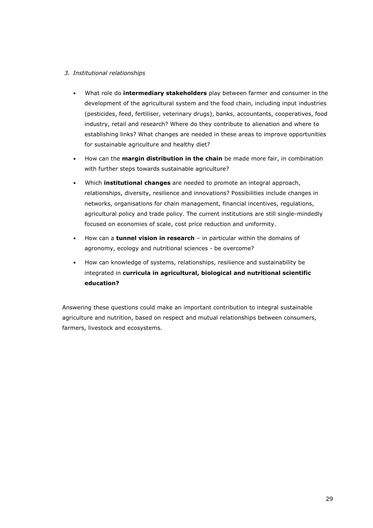#### 3. Institutional relationships

- What role do *intermediary stakeholders* play between farmer and consumer in the development of the agricultural system and the food chain, including input industries (pesticides, feed, fertiliser, veterinary drugs), banks, accountants, cooperatives, food industry, retail and research? Where do they contribute to alienation and where to establishing links? What changes are needed in these areas to improve opportunities for sustainable agriculture and healthy diet?
- How can the margin distribution in the chain be made more fair, in combination with further steps towards sustainable agriculture?
- Which **institutional changes** are needed to promote an integral approach, relationships, diversity, resilience and innovations? Possibilities include changes in networks, organisations for chain management, financial incentives, regulations, agricultural policy and trade policy. The current institutions are still single-mindedly focused on economies of scale, cost price reduction and uniformity.
- How can a tunnel vision in research in particular within the domains of agronomy, ecology and nutritional sciences - be overcome?
- How can knowledge of systems, relationships, resilience and sustainability be integrated in curricula in agricultural, biological and nutritional scientific education?

Answering these questions could make an important contribution to integral sustainable agriculture and nutrition, based on respect and mutual relationships between consumers, farmers, livestock and ecosystems.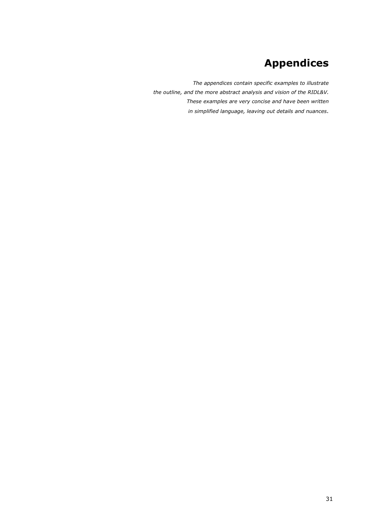# Appendices

The appendices contain specific examples to illustrate the outline, and the more abstract analysis and vision of the RIDL&V. These examples are very concise and have been written in simplified language, leaving out details and nuances.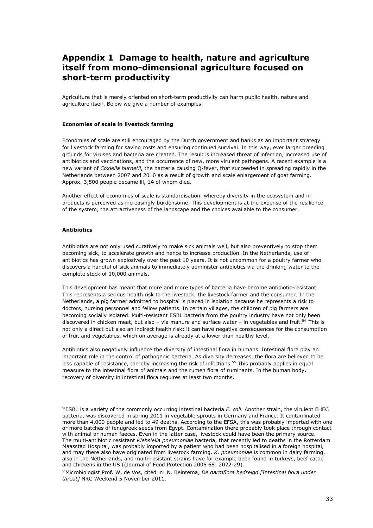### Appendix 1 Damage to health, nature and agriculture itself from mono-dimensional agriculture focused on short-term productivity

Agriculture that is merely oriented on short-term productivity can harm public health, nature and agriculture itself. Below we give a number of examples.

#### Economies of scale in livestock farming

Economies of scale are still encouraged by the Dutch government and banks as an important strategy for livestock farming for saving costs and ensuring continued survival. In this way, ever larger breeding grounds for viruses and bacteria are created. The result is increased threat of infection, increased use of antibiotics and vaccinations, and the occurrence of new, more virulent pathogens. A recent example is a new variant of Coxiella burnetii, the bacteria causing Q-fever, that succeeded in spreading rapidly in the Netherlands between 2007 and 2010 as a result of growth and scale enlargement of goat farming. Approx. 3,500 people became ill, 14 of whom died.

Another effect of economies of scale is standardisation, whereby diversity in the ecosystem and in products is perceived as increasingly burdensome. This development is at the expense of the resilience of the system, the attractiveness of the landscape and the choices available to the consumer.

#### **Antihiotics**

i<br>I

Antibiotics are not only used curatively to make sick animals well, but also preventively to stop them becoming sick, to accelerate growth and hence to increase production. In the Netherlands, use of antibiotics has grown explosively over the past 10 years. It is not uncommon for a poultry farmer who discovers a handful of sick animals to immediately administer antibiotics via the drinking water to the complete stock of 10,000 animals.

This development has meant that more and more types of bacteria have become antibiotic-resistant. This represents a serious health risk to the livestock, the livestock farmer and the consumer. In the Netherlands, a pig farmer admitted to hospital is placed in isolation because he represents a risk to doctors, nursing personnel and fellow patients. In certain villages, the children of pig farmers are becoming socially isolated. Multi-resistant ESBL bacteria from the poultry industry have not only been discovered in chicken meat, but also – via manure and surface water – in vegetables and fruit.<sup>54</sup> This is not only a direct but also an indirect health risk: it can have negative consequences for the consumption of fruit and vegetables, which on average is already at a lower than healthy level.

Antibiotics also negatively influence the diversity of intestinal flora in humans. Intestinal flora play an important role in the control of pathogenic bacteria. As diversity decreases, the flora are believed to be less capable of resistance, thereby increasing the risk of infections.<sup>55</sup> This probably applies in equal measure to the intestinal flora of animals and the rumen flora of ruminants. In the human body, recovery of diversity in intestinal flora requires at least two months.

 $54$ ESBL is a variety of the commonly occurring intestinal bacteria E. coli. Another strain, the virulent EHEC bacteria, was discovered in spring 2011 in vegetable sprouts in Germany and France. It contaminated more than 4,000 people and led to 49 deaths. According to the EFSA, this was probably imported with one or more batches of fenugreek seeds from Egypt. Contamination there probably took place through contact with animal or human faeces. Even in the latter case, livestock could have been the primary source. The multi-antibiotic resistant *Klebsiella pneumoniae* bacteria, that recently led to deaths in the Rotterdam Maasstad Hospital, was probably imported by a patient who had been hospitalised in a foreign hospital, and may there also have originated from livestock farming. K. pneumoniae is common in dairy farming, also in the Netherlands, and multi-resistant strains have for example been found in turkeys, beef cattle and chickens in the US ((Journal of Food Protection 2005 68: 2022-29).

 $55$ Microbiologist Prof. W. de Vos, cited in: N. Beintema, De darmflora bedreigd [Intestinal flora under threat<sub>1</sub> NRC Weekend 5 November 2011.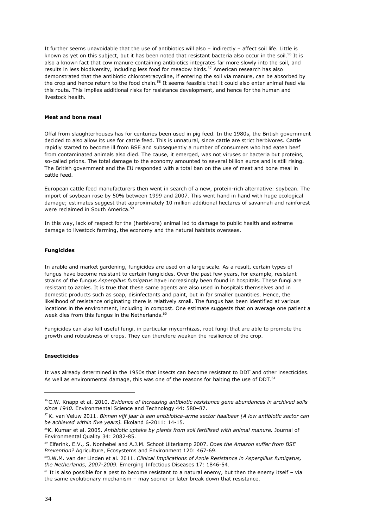It further seems unavoidable that the use of antibiotics will also – indirectly – affect soil life. Little is known as yet on this subject, but it has been noted that resistant bacteria also occur in the soil.<sup>56</sup> It is also a known fact that cow manure containing antibiotics integrates far more slowly into the soil, and results in less biodiversity, including less food for meadow birds.<sup>57</sup> American research has also demonstrated that the antibiotic chlorotetracycline, if entering the soil via manure, can be absorbed by the crop and hence return to the food chain.<sup>58</sup> It seems feasible that it could also enter animal feed via this route. This implies additional risks for resistance development, and hence for the human and livestock health.

#### Meat and bone meal

Offal from slaughterhouses has for centuries been used in pig feed. In the 1980s, the British government decided to also allow its use for cattle feed. This is unnatural, since cattle are strict herbivores. Cattle rapidly started to become ill from BSE and subsequently a number of consumers who had eaten beef from contaminated animals also died. The cause, it emerged, was not viruses or bacteria but proteins, so-called prions. The total damage to the economy amounted to several billion euros and is still rising. The British government and the EU responded with a total ban on the use of meat and bone meal in cattle feed.

European cattle feed manufacturers then went in search of a new, protein-rich alternative: soybean. The import of soybean rose by 50% between 1999 and 2007. This went hand in hand with huge ecological damage; estimates suggest that approximately 10 million additional hectares of savannah and rainforest were reclaimed in South America.<sup>59</sup>

In this way, lack of respect for the (herbivore) animal led to damage to public health and extreme damage to livestock farming, the economy and the natural habitats overseas.

#### Fungicides

In arable and market gardening, fungicides are used on a large scale. As a result, certain types of fungus have become resistant to certain fungicides. Over the past few years, for example, resistant strains of the fungus Aspergillus fumigatus have increasingly been found in hospitals. These fungi are resistant to azoles. It is true that these same agents are also used in hospitals themselves and in domestic products such as soap, disinfectants and paint, but in far smaller quantities. Hence, the likelihood of resistance originating there is relatively small. The fungus has been identified at various locations in the environment, including in compost. One estimate suggests that on average one patient a week dies from this fungus in the Netherlands.<sup>60</sup>

Fungicides can also kill useful fungi, in particular mycorrhizas, root fungi that are able to promote the growth and robustness of crops. They can therefore weaken the resilience of the crop.

#### Insecticides

ł

It was already determined in the 1950s that insects can become resistant to DDT and other insecticides. As well as environmental damage, this was one of the reasons for halting the use of DDT.<sup>61</sup>

<sup>&</sup>lt;sup>56</sup> C.W. Knapp et al. 2010. Evidence of increasing antibiotic resistance gene abundances in archived soils since 1940. Environmental Science and Technology 44: 580–87.

 $57$  K. van Veluw 2011. Binnen vijf jaar is een antibiotica-arme sector haalbaar [A low antibiotic sector can be achieved within five years]. Ekoland 6-2011: 14-15.

<sup>&</sup>lt;sup>58</sup>K. Kumar et al. 2005. Antibiotic uptake by plants from soil fertilised with animal manure. Journal of Environmental Quality 34: 2082-85.

<sup>&</sup>lt;sup>59</sup> Elferink, E.V., S. Nonhebel and A.J.M. Schoot Uiterkamp 2007. Does the Amazon suffer from BSE Prevention? Agriculture, Ecosystems and Environment 120: 467-69.

<sup>&</sup>lt;sup>60</sup>J.W.M. van der Linden et al. 2011. Clinical Implications of Azole Resistance in Aspergillus fumigatus, the Netherlands, 2007-2009. Emerging Infectious Diseases 17: 1846-54.

 $61$  It is also possible for a pest to become resistant to a natural enemy, but then the enemy itself – via the same evolutionary mechanism – may sooner or later break down that resistance.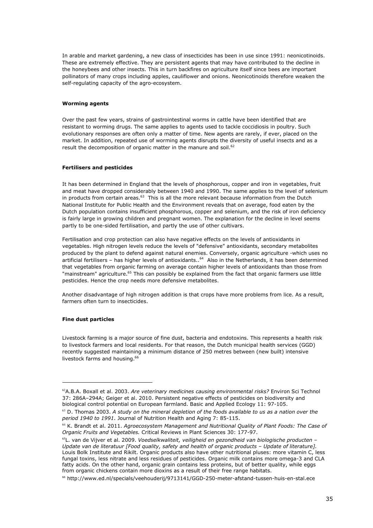In arable and market gardening, a new class of insecticides has been in use since 1991: neonicotinoids. These are extremely effective. They are persistent agents that may have contributed to the decline in the honeybees and other insects. This in turn backfires on agriculture itself since bees are important pollinators of many crops including apples, cauliflower and onions. Neonicotinoids therefore weaken the self-regulating capacity of the agro-ecosystem.

#### Worming agents

Over the past few years, strains of gastrointestinal worms in cattle have been identified that are resistant to worming drugs. The same applies to agents used to tackle coccidiosis in poultry. Such evolutionary responses are often only a matter of time. New agents are rarely, if ever, placed on the market. In addition, repeated use of worming agents disrupts the diversity of useful insects and as a result the decomposition of organic matter in the manure and soil.<sup>62</sup>

#### Fertilisers and pesticides

It has been determined in England that the levels of phosphorous, copper and iron in vegetables, fruit and meat have dropped considerably between 1940 and 1990. The same applies to the level of selenium in products from certain areas.<sup>63</sup> This is all the more relevant because information from the Dutch National Institute for Public Health and the Environment reveals that on average, food eaten by the Dutch population contains insufficient phosphorous, copper and selenium, and the risk of iron deficiency is fairly large in growing children and pregnant women. The explanation for the decline in level seems partly to be one-sided fertilisation, and partly the use of other cultivars.

Fertilisation and crop protection can also have negative effects on the levels of antioxidants in vegetables. High nitrogen levels reduce the levels of "defensive" antioxidants, secondary metabolites produced by the plant to defend against natural enemies. Conversely, organic agriculture -which uses no artificial fertilisers – has higher levels of antioxidants..64 Also in the Netherlands, it has been determined that vegetables from organic farming on average contain higher levels of antioxidants than those from "mainstream" agriculture.<sup>65</sup> This can possibly be explained from the fact that organic farmers use little pesticides. Hence the crop needs more defensive metabolites.

Another disadvantage of high nitrogen addition is that crops have more problems from lice. As a result, farmers often turn to insecticides.

#### Fine dust particles

i<br>I

Livestock farming is a major source of fine dust, bacteria and endotoxins. This represents a health risk to livestock farmers and local residents. For that reason, the Dutch municipal health services (GGD) recently suggested maintaining a minimum distance of 250 metres between (new built) intensive livestock farms and housing.<sup>66</sup>

 $^{62}$ A.B.A. Boxall et al. 2003. Are veterinary medicines causing environmental risks? Environ Sci Technol 37: 286A–294A; Geiger et al. 2010. Persistent negative effects of pesticides on biodiversity and biological control potential on European farmland. Basic and Applied Ecology 11: 97-105.

 $63$  D. Thomas 2003. A study on the mineral depletion of the foods available to us as a nation over the period 1940 to 1991. Journal of Nutrition Health and Aging 7: 85-115.

 $64$  K. Brandt et al. 2011. Agroecosystem Management and Nutritional Quality of Plant Foods: The Case of Organic Fruits and Vegetables. Critical Reviews in Plant Sciences 30: 177-97.

 $65L$ . van de Vijver et al. 2009. Voedselkwaliteit, veiligheid en gezondheid van biologische producten – Update van de literatuur [Food quality, safety and health of organic products – Update of literature]. Louis Bolk Institute and Rikilt. Organic products also have other nutritional pluses: more vitamin C, less fungal toxins, less nitrate and less residues of pesticides. Organic milk contains more omega-3 and CLA fatty acids. On the other hand, organic grain contains less proteins, but of better quality, while eggs from organic chickens contain more dioxins as a result of their free range habitats.

 $66$  http://www.ed.nl/specials/veehouderij/9713141/GGD-250-meter-afstand-tussen-huis-en-stal.ece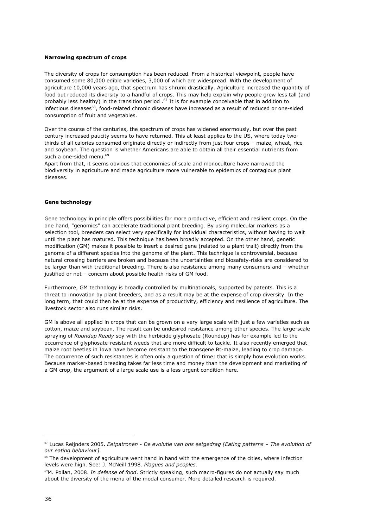#### Narrowing spectrum of crops

The diversity of crops for consumption has been reduced. From a historical viewpoint, people have consumed some 80,000 edible varieties, 3,000 of which are widespread. With the development of agriculture 10,000 years ago, that spectrum has shrunk drastically. Agriculture increased the quantity of food but reduced its diversity to a handful of crops. This may help explain why people grew less tall (and probably less healthy) in the transition period .67 It is for example conceivable that in addition to infectious diseases<sup>68</sup>, food-related chronic diseases have increased as a result of reduced or one-sided consumption of fruit and vegetables.

Over the course of the centuries, the spectrum of crops has widened enormously, but over the past century increased paucity seems to have returned. This at least applies to the US, where today twothirds of all calories consumed originate directly or indirectly from just four crops – maize, wheat, rice and soybean. The question is whether Americans are able to obtain all their essential nutrients from such a one-sided menu.<sup>69</sup>

Apart from that, it seems obvious that economies of scale and monoculture have narrowed the biodiversity in agriculture and made agriculture more vulnerable to epidemics of contagious plant diseases.

#### Gene technology

Gene technology in principle offers possibilities for more productive, efficient and resilient crops. On the one hand, "genomics" can accelerate traditional plant breeding. By using molecular markers as a selection tool, breeders can select very specifically for individual characteristics, without having to wait until the plant has matured. This technique has been broadly accepted. On the other hand, genetic modification (GM) makes it possible to insert a desired gene (related to a plant trait) directly from the genome of a different species into the genome of the plant. This technique is controversial, because natural crossing barriers are broken and because the uncertainties and biosafety-risks are considered to be larger than with traditional breeding. There is also resistance among many consumers and – whether justified or not – concern about possible health risks of GM food.

Furthermore, GM technology is broadly controlled by multinationals, supported by patents. This is a threat to innovation by plant breeders, and as a result may be at the expense of crop diversity. In the long term, that could then be at the expense of productivity, efficiency and resilience of agriculture. The livestock sector also runs similar risks.

GM is above all applied in crops that can be grown on a very large scale with just a few varieties such as cotton, maize and soybean. The result can be undesired resistance among other species. The large-scale spraying of Roundup Ready soy with the herbicide glyphosate (Roundup) has for example led to the occurrence of glyphosate-resistant weeds that are more difficult to tackle. It also recently emerged that maize root beetles in Iowa have become resistant to the transgene Bt-maize, leading to crop damage. The occurrence of such resistances is often only a question of time; that is simply how evolution works. Because marker-based breeding takes far less time and money than the development and marketing of a GM crop, the argument of a large scale use is a less urgent condition here.

 $67$  Lucas Reijnders 2005. Eetpatronen - De evolutie van ons eetgedrag [Eating patterns - The evolution of our eating behaviour].

 $68$  The development of agriculture went hand in hand with the emergence of the cities, where infection levels were high. See: J. McNeill 1998. Plagues and peoples.

 $^{69}$ M. Pollan, 2008. In defense of food. Strictly speaking, such macro-figures do not actually say much about the diversity of the menu of the modal consumer. More detailed research is required.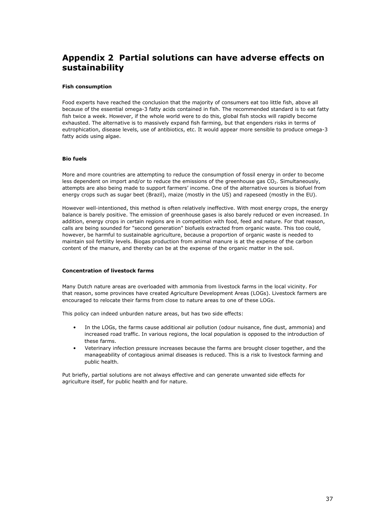### Appendix 2 Partial solutions can have adverse effects on sustainability

#### Fish consumption

Food experts have reached the conclusion that the majority of consumers eat too little fish, above all because of the essential omega-3 fatty acids contained in fish. The recommended standard is to eat fatty fish twice a week. However, if the whole world were to do this, global fish stocks will rapidly become exhausted. The alternative is to massively expand fish farming, but that engenders risks in terms of eutrophication, disease levels, use of antibiotics, etc. It would appear more sensible to produce omega-3 fatty acids using algae.

#### Bio fuels

More and more countries are attempting to reduce the consumption of fossil energy in order to become less dependent on import and/or to reduce the emissions of the greenhouse gas CO<sub>2</sub>. Simultaneously, attempts are also being made to support farmers' income. One of the alternative sources is biofuel from energy crops such as sugar beet (Brazil), maize (mostly in the US) and rapeseed (mostly in the EU).

However well-intentioned, this method is often relatively ineffective. With most energy crops, the energy balance is barely positive. The emission of greenhouse gases is also barely reduced or even increased. In addition, energy crops in certain regions are in competition with food, feed and nature. For that reason, calls are being sounded for "second generation" biofuels extracted from organic waste. This too could, however, be harmful to sustainable agriculture, because a proportion of organic waste is needed to maintain soil fertility levels. Biogas production from animal manure is at the expense of the carbon content of the manure, and thereby can be at the expense of the organic matter in the soil.

#### Concentration of livestock farms

Many Dutch nature areas are overloaded with ammonia from livestock farms in the local vicinity. For that reason, some provinces have created Agriculture Development Areas (LOGs). Livestock farmers are encouraged to relocate their farms from close to nature areas to one of these LOGs.

This policy can indeed unburden nature areas, but has two side effects:

- In the LOGs, the farms cause additional air pollution (odour nuisance, fine dust, ammonia) and increased road traffic. In various regions, the local population is opposed to the introduction of these farms.
- Veterinary infection pressure increases because the farms are brought closer together, and the manageability of contagious animal diseases is reduced. This is a risk to livestock farming and public health.

Put briefly, partial solutions are not always effective and can generate unwanted side effects for agriculture itself, for public health and for nature.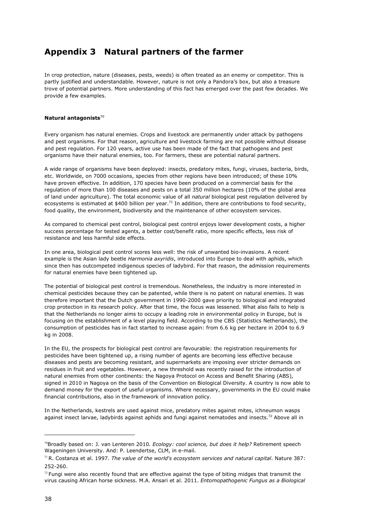### Appendix 3 Natural partners of the farmer

In crop protection, nature (diseases, pests, weeds) is often treated as an enemy or competitor. This is partly justified and understandable. However, nature is not only a Pandora's box, but also a treasure trove of potential partners. More understanding of this fact has emerged over the past few decades. We provide a few examples.

#### Natural antagonists $70$

Every organism has natural enemies. Crops and livestock are permanently under attack by pathogens and pest organisms. For that reason, agriculture and livestock farming are not possible without disease and pest regulation. For 120 years, active use has been made of the fact that pathogens and pest organisms have their natural enemies, too. For farmers, these are potential natural partners.

A wide range of organisms have been deployed: insects, predatory mites, fungi, viruses, bacteria, birds, etc. Worldwide, on 7000 occasions, species from other regions have been introduced; of these 10% have proven effective. In addition, 170 species have been produced on a commercial basis for the regulation of more than 100 diseases and pests on a total 350 million hectares (10% of the global area of land under agriculture). The total economic value of all natural biological pest regulation delivered by ecosystems is estimated at \$400 billion per year.<sup>71</sup> In addition, there are contributions to food security, food quality, the environment, biodiversity and the maintenance of other ecosystem services.

As compared to chemical pest control, biological pest control enjoys lower development costs, a higher success percentage for tested agents, a better cost/benefit ratio, more specific effects, less risk of resistance and less harmful side effects.

In one area, biological pest control scores less well: the risk of unwanted bio-invasions. A recent example is the Asian lady beetle Harmonia axyridis, introduced into Europe to deal with aphids, which since then has outcompeted indigenous species of ladybird. For that reason, the admission requirements for natural enemies have been tightened up.

The potential of biological pest control is tremendous. Nonetheless, the industry is more interested in chemical pesticides because they can be patented, while there is no patent on natural enemies. It was therefore important that the Dutch government in 1990-2000 gave priority to biological and integrated crop protection in its research policy. After that time, the focus was lessened. What also fails to help is that the Netherlands no longer aims to occupy a leading role in environmental policy in Europe, but is focusing on the establishment of a level playing field. According to the CBS (Statistics Netherlands), the consumption of pesticides has in fact started to increase again: from 6.6 kg per hectare in 2004 to 6.9 kg in 2008.

In the EU, the prospects for biological pest control are favourable: the registration requirements for pesticides have been tightened up, a rising number of agents are becoming less effective because diseases and pests are becoming resistant, and supermarkets are imposing ever stricter demands on residues in fruit and vegetables. However, a new threshold was recently raised for the introduction of natural enemies from other continents: the Nagoya Protocol on Access and Benefit Sharing (ABS), signed in 2010 in Nagoya on the basis of the Convention on Biological Diversity. A country is now able to demand money for the export of useful organisms. Where necessary, governments in the EU could make financial contributions, also in the framework of innovation policy.

In the Netherlands, kestrels are used against mice, predatory mites against mites, ichneumon wasps against insect larvae, ladybirds against aphids and fungi against nematodes and insects.<sup>72</sup> Above all in

<sup>&</sup>lt;sup>70</sup>Broadly based on: J. van Lenteren 2010. Ecology: cool science, but does it help? Retirement speech Wageningen University. And: P. Leendertse, CLM, in e-mail.

 $71$ R. Costanza et al. 1997. The value of the world's ecosystem services and natural capital. Nature 387: 252-260.

 $72$  Fungi were also recently found that are effective against the type of biting midges that transmit the virus causing African horse sickness. M.A. Ansari et al. 2011. Entomopathogenic Fungus as a Biological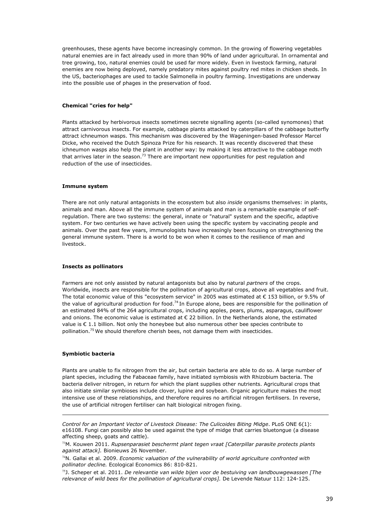greenhouses, these agents have become increasingly common. In the growing of flowering vegetables natural enemies are in fact already used in more than 90% of land under agricultural. In ornamental and tree growing, too, natural enemies could be used far more widely. Even in livestock farming, natural enemies are now being deployed, namely predatory mites against poultry red mites in chicken sheds. In the US, bacteriophages are used to tackle Salmonella in poultry farming. Investigations are underway into the possible use of phages in the preservation of food.

#### Chemical "cries for help"

Plants attacked by herbivorous insects sometimes secrete signalling agents (so-called synomones) that attract carnivorous insects. For example, cabbage plants attacked by caterpillars of the cabbage butterfly attract ichneumon wasps. This mechanism was discovered by the Wageningen-based Professor Marcel Dicke, who received the Dutch Spinoza Prize for his research. It was recently discovered that these ichneumon wasps also help the plant in another way: by making it less attractive to the cabbage moth that arrives later in the season.<sup>73</sup> There are important new opportunities for pest regulation and reduction of the use of insecticides.

#### Immune system

There are not only natural antagonists in the ecosystem but also *inside* organisms themselves: in plants, animals and man. Above all the immune system of animals and man is a remarkable example of selfregulation. There are two systems: the general, innate or "natural" system and the specific, adaptive system. For two centuries we have actively been using the specific system by vaccinating people and animals. Over the past few years, immunologists have increasingly been focusing on strengthening the general immune system. There is a world to be won when it comes to the resilience of man and livestock.

#### Insects as pollinators

Farmers are not only assisted by natural antagonists but also by natural partners of the crops. Worldwide, insects are responsible for the pollination of agricultural crops, above all vegetables and fruit. The total economic value of this "ecosystem service" in 2005 was estimated at € 153 billion, or 9.5% of the value of agricultural production for food.<sup>74</sup> In Europe alone, bees are responsible for the pollination of an estimated 84% of the 264 agricultural crops, including apples, pears, plums, asparagus, cauliflower and onions. The economic value is estimated at € 22 billion. In the Netherlands alone, the estimated value is  $\epsilon$  1.1 billion. Not only the honeybee but also numerous other bee species contribute to pollination.<sup>75</sup> We should therefore cherish bees, not damage them with insecticides.

#### Symbiotic bacteria

i,

Plants are unable to fix nitrogen from the air, but certain bacteria are able to do so. A large number of plant species, including the Fabaceae family, have initiated symbiosis with Rhizobium bacteria. The bacteria deliver nitrogen, in return for which the plant supplies other nutrients. Agricultural crops that also initiate similar symbioses include clover, lupine and soybean. Organic agriculture makes the most intensive use of these relationships, and therefore requires no artificial nitrogen fertilisers. In reverse, the use of artificial nitrogen fertiliser can halt biological nitrogen fixing.

Control for an Important Vector of Livestock Disease: The Culicoides Biting Midge. PLoS ONE 6(1): e16108. Fungi can possibly also be used against the type of midge that carries bluetongue (a disease affecting sheep, goats and cattle).

<sup>&</sup>lt;sup>73</sup>M. Kouwen 2011. Rupsenparasiet beschermt plant tegen vraat [Caterpillar parasite protects plants against attack]. Bionieuws 26 November.

 $74$ N. Gallai et al. 2009. Economic valuation of the vulnerability of world agriculture confronted with pollinator decline. Ecological Economics 86: 810-821.

 $75$ ]. Scheper et al. 2011. De relevantie van wilde bijen voor de bestuiving van landbouwgewassen [The relevance of wild bees for the pollination of agricultural crops]. De Levende Natuur 112: 124-125.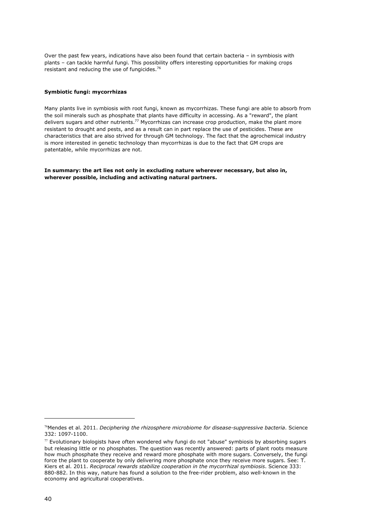Over the past few years, indications have also been found that certain bacteria – in symbiosis with plants – can tackle harmful fungi. This possibility offers interesting opportunities for making crops resistant and reducing the use of fungicides.<sup>76</sup>

#### Symbiotic fungi: mycorrhizas

Many plants live in symbiosis with root fungi, known as mycorrhizas. These fungi are able to absorb from the soil minerals such as phosphate that plants have difficulty in accessing. As a "reward", the plant delivers sugars and other nutrients.<sup>77</sup> Mycorrhizas can increase crop production, make the plant more resistant to drought and pests, and as a result can in part replace the use of pesticides. These are characteristics that are also strived for through GM technology. The fact that the agrochemical industry is more interested in genetic technology than mycorrhizas is due to the fact that GM crops are patentable, while mycorrhizas are not.

In summary: the art lies not only in excluding nature wherever necessary, but also in, wherever possible, including and activating natural partners.

<sup>&</sup>lt;sup>76</sup>Mendes et al. 2011. Deciphering the rhizosphere microbiome for disease-suppressive bacteria. Science 332: 1097-1100.

 $77$  Evolutionary biologists have often wondered why fungi do not "abuse" symbiosis by absorbing sugars but releasing little or no phosphates. The question was recently answered: parts of plant roots measure how much phosphate they receive and reward more phosphate with more sugars. Conversely, the fungi force the plant to cooperate by only delivering more phosphate once they receive more sugars. See: T. Kiers et al. 2011. Reciprocal rewards stabilize cooperation in the mycorrhizal symbiosis. Science 333: 880-882. In this way, nature has found a solution to the free-rider problem, also well-known in the economy and agricultural cooperatives.